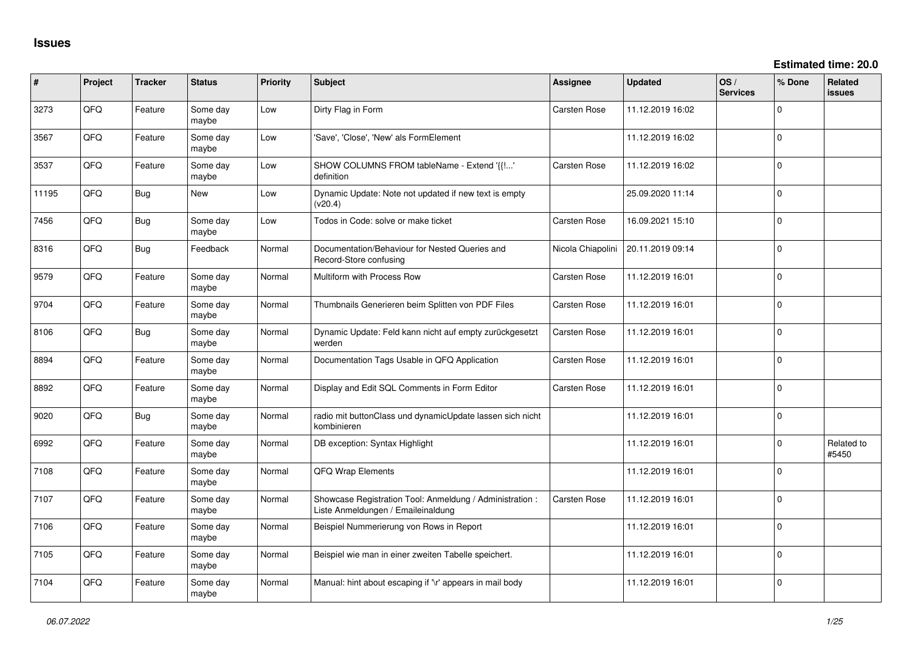| #     | Project | <b>Tracker</b> | <b>Status</b>     | <b>Priority</b> | <b>Subject</b>                                                                                 | Assignee            | <b>Updated</b>   | OS/<br><b>Services</b> | % Done      | <b>Related</b><br><b>issues</b> |
|-------|---------|----------------|-------------------|-----------------|------------------------------------------------------------------------------------------------|---------------------|------------------|------------------------|-------------|---------------------------------|
| 3273  | QFQ     | Feature        | Some day<br>maybe | Low             | Dirty Flag in Form                                                                             | <b>Carsten Rose</b> | 11.12.2019 16:02 |                        | $\Omega$    |                                 |
| 3567  | QFQ     | Feature        | Some day<br>maybe | Low             | 'Save', 'Close', 'New' als FormElement                                                         |                     | 11.12.2019 16:02 |                        | $\Omega$    |                                 |
| 3537  | QFQ     | Feature        | Some day<br>maybe | Low             | SHOW COLUMNS FROM tableName - Extend '{{!'<br>definition                                       | <b>Carsten Rose</b> | 11.12.2019 16:02 |                        | $\Omega$    |                                 |
| 11195 | QFQ     | Bug            | New               | Low             | Dynamic Update: Note not updated if new text is empty<br>(v20.4)                               |                     | 25.09.2020 11:14 |                        | $\Omega$    |                                 |
| 7456  | QFQ     | <b>Bug</b>     | Some day<br>maybe | Low             | Todos in Code: solve or make ticket                                                            | <b>Carsten Rose</b> | 16.09.2021 15:10 |                        | $\Omega$    |                                 |
| 8316  | QFQ     | Bug            | Feedback          | Normal          | Documentation/Behaviour for Nested Queries and<br>Record-Store confusing                       | Nicola Chiapolini   | 20.11.2019 09:14 |                        | $\Omega$    |                                 |
| 9579  | QFQ     | Feature        | Some day<br>maybe | Normal          | Multiform with Process Row                                                                     | <b>Carsten Rose</b> | 11.12.2019 16:01 |                        | $\Omega$    |                                 |
| 9704  | QFQ     | Feature        | Some day<br>maybe | Normal          | Thumbnails Generieren beim Splitten von PDF Files                                              | <b>Carsten Rose</b> | 11.12.2019 16:01 |                        | $\Omega$    |                                 |
| 8106  | QFQ     | <b>Bug</b>     | Some day<br>maybe | Normal          | Dynamic Update: Feld kann nicht auf empty zurückgesetzt<br>werden                              | <b>Carsten Rose</b> | 11.12.2019 16:01 |                        | $\Omega$    |                                 |
| 8894  | QFQ     | Feature        | Some day<br>maybe | Normal          | Documentation Tags Usable in QFQ Application                                                   | <b>Carsten Rose</b> | 11.12.2019 16:01 |                        | $\Omega$    |                                 |
| 8892  | QFQ     | Feature        | Some day<br>maybe | Normal          | Display and Edit SQL Comments in Form Editor                                                   | <b>Carsten Rose</b> | 11.12.2019 16:01 |                        | $\mathbf 0$ |                                 |
| 9020  | QFQ     | Bug            | Some day<br>maybe | Normal          | radio mit buttonClass und dynamicUpdate lassen sich nicht<br>kombinieren                       |                     | 11.12.2019 16:01 |                        | $\mathbf 0$ |                                 |
| 6992  | QFQ     | Feature        | Some day<br>maybe | Normal          | DB exception: Syntax Highlight                                                                 |                     | 11.12.2019 16:01 |                        | $\Omega$    | Related to<br>#5450             |
| 7108  | QFQ     | Feature        | Some day<br>maybe | Normal          | QFQ Wrap Elements                                                                              |                     | 11.12.2019 16:01 |                        | $\Omega$    |                                 |
| 7107  | QFQ     | Feature        | Some day<br>maybe | Normal          | Showcase Registration Tool: Anmeldung / Administration :<br>Liste Anmeldungen / Emaileinaldung | <b>Carsten Rose</b> | 11.12.2019 16:01 |                        | $\Omega$    |                                 |
| 7106  | QFQ     | Feature        | Some day<br>maybe | Normal          | Beispiel Nummerierung von Rows in Report                                                       |                     | 11.12.2019 16:01 |                        | $\mathbf 0$ |                                 |
| 7105  | QFQ     | Feature        | Some day<br>maybe | Normal          | Beispiel wie man in einer zweiten Tabelle speichert.                                           |                     | 11.12.2019 16:01 |                        | $\mathbf 0$ |                                 |
| 7104  | QFQ     | Feature        | Some day<br>maybe | Normal          | Manual: hint about escaping if '\r' appears in mail body                                       |                     | 11.12.2019 16:01 |                        | $\Omega$    |                                 |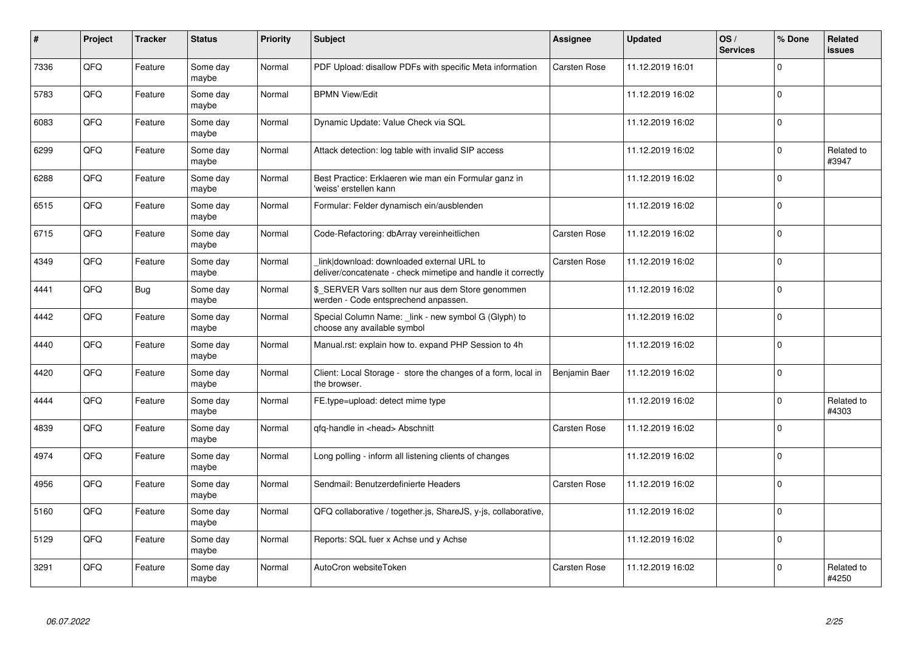| #    | Project | <b>Tracker</b> | <b>Status</b>     | <b>Priority</b> | <b>Subject</b>                                                                                            | Assignee            | <b>Updated</b>   | OS/<br><b>Services</b> | % Done   | Related<br>issues   |
|------|---------|----------------|-------------------|-----------------|-----------------------------------------------------------------------------------------------------------|---------------------|------------------|------------------------|----------|---------------------|
| 7336 | QFQ     | Feature        | Some day<br>maybe | Normal          | PDF Upload: disallow PDFs with specific Meta information                                                  | <b>Carsten Rose</b> | 11.12.2019 16:01 |                        | $\Omega$ |                     |
| 5783 | QFQ     | Feature        | Some day<br>maybe | Normal          | <b>BPMN View/Edit</b>                                                                                     |                     | 11.12.2019 16:02 |                        | $\Omega$ |                     |
| 6083 | QFQ     | Feature        | Some day<br>maybe | Normal          | Dynamic Update: Value Check via SQL                                                                       |                     | 11.12.2019 16:02 |                        | 0        |                     |
| 6299 | QFQ     | Feature        | Some day<br>maybe | Normal          | Attack detection: log table with invalid SIP access                                                       |                     | 11.12.2019 16:02 |                        | $\Omega$ | Related to<br>#3947 |
| 6288 | QFQ     | Feature        | Some day<br>maybe | Normal          | Best Practice: Erklaeren wie man ein Formular ganz in<br>'weiss' erstellen kann                           |                     | 11.12.2019 16:02 |                        | $\Omega$ |                     |
| 6515 | QFQ     | Feature        | Some day<br>maybe | Normal          | Formular: Felder dynamisch ein/ausblenden                                                                 |                     | 11.12.2019 16:02 |                        | $\Omega$ |                     |
| 6715 | QFQ     | Feature        | Some day<br>maybe | Normal          | Code-Refactoring: dbArray vereinheitlichen                                                                | Carsten Rose        | 11.12.2019 16:02 |                        | $\Omega$ |                     |
| 4349 | QFQ     | Feature        | Some day<br>maybe | Normal          | link download: downloaded external URL to<br>deliver/concatenate - check mimetipe and handle it correctly | Carsten Rose        | 11.12.2019 16:02 |                        | $\Omega$ |                     |
| 4441 | QFQ     | Bug            | Some day<br>maybe | Normal          | \$ SERVER Vars sollten nur aus dem Store genommen<br>werden - Code entsprechend anpassen.                 |                     | 11.12.2019 16:02 |                        | $\Omega$ |                     |
| 4442 | QFQ     | Feature        | Some day<br>maybe | Normal          | Special Column Name: _link - new symbol G (Glyph) to<br>choose any available symbol                       |                     | 11.12.2019 16:02 |                        | 0        |                     |
| 4440 | QFQ     | Feature        | Some day<br>maybe | Normal          | Manual.rst: explain how to. expand PHP Session to 4h                                                      |                     | 11.12.2019 16:02 |                        | $\Omega$ |                     |
| 4420 | QFQ     | Feature        | Some day<br>maybe | Normal          | Client: Local Storage - store the changes of a form, local in<br>the browser.                             | Benjamin Baer       | 11.12.2019 16:02 |                        | $\Omega$ |                     |
| 4444 | QFQ     | Feature        | Some day<br>maybe | Normal          | FE.type=upload: detect mime type                                                                          |                     | 11.12.2019 16:02 |                        | 0        | Related to<br>#4303 |
| 4839 | QFQ     | Feature        | Some day<br>maybe | Normal          | qfq-handle in <head> Abschnitt</head>                                                                     | Carsten Rose        | 11.12.2019 16:02 |                        | $\Omega$ |                     |
| 4974 | QFQ     | Feature        | Some day<br>maybe | Normal          | Long polling - inform all listening clients of changes                                                    |                     | 11.12.2019 16:02 |                        | $\Omega$ |                     |
| 4956 | QFQ     | Feature        | Some day<br>maybe | Normal          | Sendmail: Benutzerdefinierte Headers                                                                      | <b>Carsten Rose</b> | 11.12.2019 16:02 |                        | $\Omega$ |                     |
| 5160 | QFQ     | Feature        | Some day<br>maybe | Normal          | QFQ collaborative / together.js, ShareJS, y-js, collaborative,                                            |                     | 11.12.2019 16:02 |                        | $\Omega$ |                     |
| 5129 | QFQ     | Feature        | Some day<br>maybe | Normal          | Reports: SQL fuer x Achse und y Achse                                                                     |                     | 11.12.2019 16:02 |                        | $\Omega$ |                     |
| 3291 | QFQ     | Feature        | Some day<br>maybe | Normal          | AutoCron websiteToken                                                                                     | <b>Carsten Rose</b> | 11.12.2019 16:02 |                        | $\Omega$ | Related to<br>#4250 |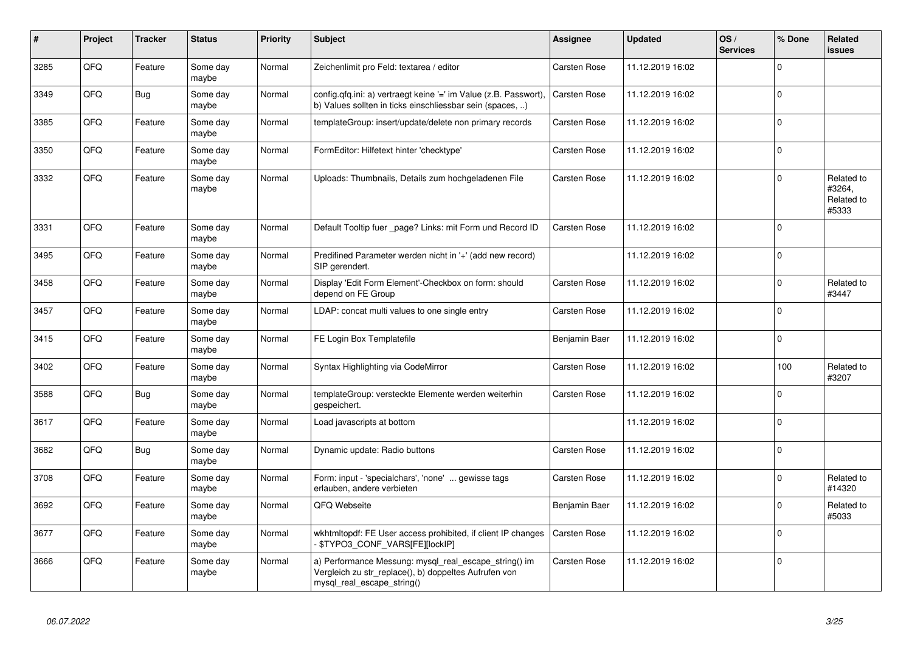| $\vert$ # | Project | <b>Tracker</b> | <b>Status</b>     | <b>Priority</b> | <b>Subject</b>                                                                                                                               | Assignee            | <b>Updated</b>   | OS/<br><b>Services</b> | % Done      | Related<br>issues                           |
|-----------|---------|----------------|-------------------|-----------------|----------------------------------------------------------------------------------------------------------------------------------------------|---------------------|------------------|------------------------|-------------|---------------------------------------------|
| 3285      | QFQ     | Feature        | Some day<br>maybe | Normal          | Zeichenlimit pro Feld: textarea / editor                                                                                                     | Carsten Rose        | 11.12.2019 16:02 |                        | $\Omega$    |                                             |
| 3349      | QFQ     | <b>Bug</b>     | Some day<br>maybe | Normal          | config.qfq.ini: a) vertraegt keine '=' im Value (z.B. Passwort),<br>b) Values sollten in ticks einschliessbar sein (spaces, )                | <b>Carsten Rose</b> | 11.12.2019 16:02 |                        | $\Omega$    |                                             |
| 3385      | QFQ     | Feature        | Some day<br>maybe | Normal          | templateGroup: insert/update/delete non primary records                                                                                      | Carsten Rose        | 11.12.2019 16:02 |                        | $\mathbf 0$ |                                             |
| 3350      | QFQ     | Feature        | Some day<br>maybe | Normal          | FormEditor: Hilfetext hinter 'checktype'                                                                                                     | <b>Carsten Rose</b> | 11.12.2019 16:02 |                        | $\Omega$    |                                             |
| 3332      | QFQ     | Feature        | Some day<br>maybe | Normal          | Uploads: Thumbnails, Details zum hochgeladenen File                                                                                          | <b>Carsten Rose</b> | 11.12.2019 16:02 |                        | $\Omega$    | Related to<br>#3264,<br>Related to<br>#5333 |
| 3331      | QFQ     | Feature        | Some day<br>maybe | Normal          | Default Tooltip fuer _page? Links: mit Form und Record ID                                                                                    | Carsten Rose        | 11.12.2019 16:02 |                        | $\mathbf 0$ |                                             |
| 3495      | QFQ     | Feature        | Some day<br>maybe | Normal          | Predifined Parameter werden nicht in '+' (add new record)<br>SIP gerendert.                                                                  |                     | 11.12.2019 16:02 |                        | $\Omega$    |                                             |
| 3458      | QFQ     | Feature        | Some day<br>maybe | Normal          | Display 'Edit Form Element'-Checkbox on form: should<br>depend on FE Group                                                                   | Carsten Rose        | 11.12.2019 16:02 |                        | $\Omega$    | Related to<br>#3447                         |
| 3457      | QFQ     | Feature        | Some day<br>maybe | Normal          | LDAP: concat multi values to one single entry                                                                                                | Carsten Rose        | 11.12.2019 16:02 |                        | $\mathbf 0$ |                                             |
| 3415      | QFQ     | Feature        | Some day<br>maybe | Normal          | FE Login Box Templatefile                                                                                                                    | Benjamin Baer       | 11.12.2019 16:02 |                        | $\Omega$    |                                             |
| 3402      | QFQ     | Feature        | Some day<br>maybe | Normal          | Syntax Highlighting via CodeMirror                                                                                                           | <b>Carsten Rose</b> | 11.12.2019 16:02 |                        | 100         | Related to<br>#3207                         |
| 3588      | QFQ     | Bug            | Some day<br>maybe | Normal          | templateGroup: versteckte Elemente werden weiterhin<br>gespeichert.                                                                          | Carsten Rose        | 11.12.2019 16:02 |                        | $\Omega$    |                                             |
| 3617      | QFQ     | Feature        | Some day<br>maybe | Normal          | Load javascripts at bottom                                                                                                                   |                     | 11.12.2019 16:02 |                        | $\Omega$    |                                             |
| 3682      | QFQ     | <b>Bug</b>     | Some day<br>maybe | Normal          | Dynamic update: Radio buttons                                                                                                                | Carsten Rose        | 11.12.2019 16:02 |                        | $\mathbf 0$ |                                             |
| 3708      | QFQ     | Feature        | Some day<br>maybe | Normal          | Form: input - 'specialchars', 'none'  gewisse tags<br>erlauben, andere verbieten                                                             | <b>Carsten Rose</b> | 11.12.2019 16:02 |                        | $\Omega$    | Related to<br>#14320                        |
| 3692      | QFQ     | Feature        | Some day<br>maybe | Normal          | QFQ Webseite                                                                                                                                 | Benjamin Baer       | 11.12.2019 16:02 |                        | $\Omega$    | Related to<br>#5033                         |
| 3677      | QFQ     | Feature        | Some day<br>maybe | Normal          | wkhtmitopdf: FE User access prohibited, if client IP changes<br>\$TYPO3_CONF_VARS[FE][lockIP]                                                | <b>Carsten Rose</b> | 11.12.2019 16:02 |                        | $\Omega$    |                                             |
| 3666      | QFQ     | Feature        | Some day<br>maybe | Normal          | a) Performance Messung: mysql_real_escape_string() im<br>Vergleich zu str_replace(), b) doppeltes Aufrufen von<br>mysql_real_escape_string() | <b>Carsten Rose</b> | 11.12.2019 16:02 |                        | $\mathbf 0$ |                                             |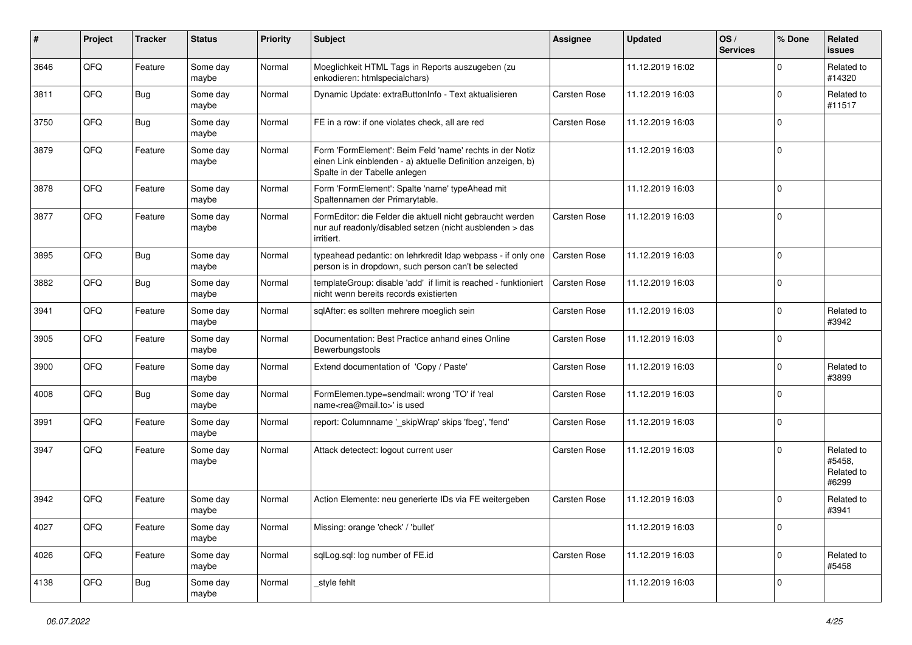| ∦    | Project | <b>Tracker</b> | <b>Status</b>     | <b>Priority</b> | Subject                                                                                                                                                  | Assignee            | <b>Updated</b>   | OS/<br><b>Services</b> | % Done      | Related<br>issues                           |
|------|---------|----------------|-------------------|-----------------|----------------------------------------------------------------------------------------------------------------------------------------------------------|---------------------|------------------|------------------------|-------------|---------------------------------------------|
| 3646 | QFQ     | Feature        | Some day<br>maybe | Normal          | Moeglichkeit HTML Tags in Reports auszugeben (zu<br>enkodieren: htmlspecialchars)                                                                        |                     | 11.12.2019 16:02 |                        | $\Omega$    | Related to<br>#14320                        |
| 3811 | QFQ     | Bug            | Some day<br>maybe | Normal          | Dynamic Update: extraButtonInfo - Text aktualisieren                                                                                                     | Carsten Rose        | 11.12.2019 16:03 |                        | $\Omega$    | Related to<br>#11517                        |
| 3750 | QFQ     | Bug            | Some day<br>maybe | Normal          | FE in a row: if one violates check, all are red                                                                                                          | Carsten Rose        | 11.12.2019 16:03 |                        | $\Omega$    |                                             |
| 3879 | QFQ     | Feature        | Some day<br>maybe | Normal          | Form 'FormElement': Beim Feld 'name' rechts in der Notiz<br>einen Link einblenden - a) aktuelle Definition anzeigen, b)<br>Spalte in der Tabelle anlegen |                     | 11.12.2019 16:03 |                        | $\Omega$    |                                             |
| 3878 | QFQ     | Feature        | Some day<br>maybe | Normal          | Form 'FormElement': Spalte 'name' typeAhead mit<br>Spaltennamen der Primarytable.                                                                        |                     | 11.12.2019 16:03 |                        | $\mathbf 0$ |                                             |
| 3877 | QFQ     | Feature        | Some day<br>maybe | Normal          | FormEditor: die Felder die aktuell nicht gebraucht werden<br>nur auf readonly/disabled setzen (nicht ausblenden > das<br>irritiert.                      | Carsten Rose        | 11.12.2019 16:03 |                        | 0           |                                             |
| 3895 | QFQ     | Bug            | Some day<br>maybe | Normal          | typeahead pedantic: on lehrkredit Idap webpass - if only one<br>person is in dropdown, such person can't be selected                                     | <b>Carsten Rose</b> | 11.12.2019 16:03 |                        | $\Omega$    |                                             |
| 3882 | QFQ     | Bug            | Some day<br>maybe | Normal          | templateGroup: disable 'add' if limit is reached - funktioniert<br>nicht wenn bereits records existierten                                                | <b>Carsten Rose</b> | 11.12.2019 16:03 |                        | $\Omega$    |                                             |
| 3941 | QFQ     | Feature        | Some day<br>maybe | Normal          | sqlAfter: es sollten mehrere moeglich sein                                                                                                               | Carsten Rose        | 11.12.2019 16:03 |                        | $\Omega$    | Related to<br>#3942                         |
| 3905 | QFQ     | Feature        | Some day<br>maybe | Normal          | Documentation: Best Practice anhand eines Online<br>Bewerbungstools                                                                                      | Carsten Rose        | 11.12.2019 16:03 |                        | $\mathbf 0$ |                                             |
| 3900 | QFQ     | Feature        | Some day<br>maybe | Normal          | Extend documentation of 'Copy / Paste'                                                                                                                   | Carsten Rose        | 11.12.2019 16:03 |                        | $\Omega$    | Related to<br>#3899                         |
| 4008 | QFQ     | Bug            | Some day<br>maybe | Normal          | FormElemen.type=sendmail: wrong 'TO' if 'real<br>name <rea@mail.to>' is used</rea@mail.to>                                                               | Carsten Rose        | 11.12.2019 16:03 |                        | $\Omega$    |                                             |
| 3991 | QFQ     | Feature        | Some day<br>maybe | Normal          | report: Columnname '_skipWrap' skips 'fbeg', 'fend'                                                                                                      | Carsten Rose        | 11.12.2019 16:03 |                        | $\Omega$    |                                             |
| 3947 | QFQ     | Feature        | Some day<br>maybe | Normal          | Attack detectect: logout current user                                                                                                                    | Carsten Rose        | 11.12.2019 16:03 |                        | $\Omega$    | Related to<br>#5458,<br>Related to<br>#6299 |
| 3942 | QFQ     | Feature        | Some day<br>maybe | Normal          | Action Elemente: neu generierte IDs via FE weitergeben                                                                                                   | Carsten Rose        | 11.12.2019 16:03 |                        | $\Omega$    | Related to<br>#3941                         |
| 4027 | QFQ     | Feature        | Some day<br>maybe | Normal          | Missing: orange 'check' / 'bullet'                                                                                                                       |                     | 11.12.2019 16:03 |                        | 0           |                                             |
| 4026 | QFG     | Feature        | Some day<br>maybe | Normal          | sqlLog.sql: log number of FE.id                                                                                                                          | Carsten Rose        | 11.12.2019 16:03 |                        | 0           | Related to<br>#5458                         |
| 4138 | QFG     | Bug            | Some day<br>maybe | Normal          | _style fehlt                                                                                                                                             |                     | 11.12.2019 16:03 |                        | 0           |                                             |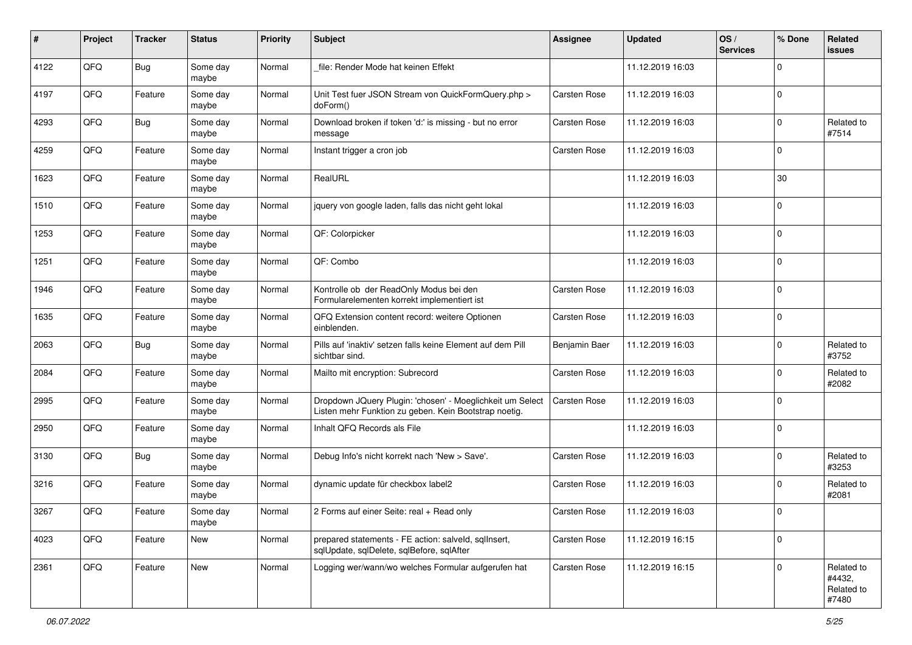| #    | Project | <b>Tracker</b> | <b>Status</b>     | <b>Priority</b> | <b>Subject</b>                                                                                                     | <b>Assignee</b> | <b>Updated</b>   | OS/<br><b>Services</b> | % Done         | Related<br><b>issues</b>                    |
|------|---------|----------------|-------------------|-----------------|--------------------------------------------------------------------------------------------------------------------|-----------------|------------------|------------------------|----------------|---------------------------------------------|
| 4122 | QFQ     | Bug            | Some day<br>maybe | Normal          | file: Render Mode hat keinen Effekt                                                                                |                 | 11.12.2019 16:03 |                        | $\Omega$       |                                             |
| 4197 | QFQ     | Feature        | Some day<br>maybe | Normal          | Unit Test fuer JSON Stream von QuickFormQuery.php ><br>doForm()                                                    | Carsten Rose    | 11.12.2019 16:03 |                        | 0              |                                             |
| 4293 | QFQ     | Bug            | Some day<br>maybe | Normal          | Download broken if token 'd:' is missing - but no error<br>message                                                 | Carsten Rose    | 11.12.2019 16:03 |                        | $\Omega$       | Related to<br>#7514                         |
| 4259 | QFQ     | Feature        | Some day<br>maybe | Normal          | Instant trigger a cron job                                                                                         | Carsten Rose    | 11.12.2019 16:03 |                        | $\mathbf 0$    |                                             |
| 1623 | QFQ     | Feature        | Some day<br>maybe | Normal          | RealURL                                                                                                            |                 | 11.12.2019 16:03 |                        | 30             |                                             |
| 1510 | QFQ     | Feature        | Some day<br>maybe | Normal          | jquery von google laden, falls das nicht geht lokal                                                                |                 | 11.12.2019 16:03 |                        | $\Omega$       |                                             |
| 1253 | QFQ     | Feature        | Some day<br>maybe | Normal          | QF: Colorpicker                                                                                                    |                 | 11.12.2019 16:03 |                        | $\Omega$       |                                             |
| 1251 | QFQ     | Feature        | Some day<br>maybe | Normal          | QF: Combo                                                                                                          |                 | 11.12.2019 16:03 |                        | 0              |                                             |
| 1946 | QFQ     | Feature        | Some day<br>maybe | Normal          | Kontrolle ob der ReadOnly Modus bei den<br>Formularelementen korrekt implementiert ist                             | Carsten Rose    | 11.12.2019 16:03 |                        | $\overline{0}$ |                                             |
| 1635 | QFQ     | Feature        | Some day<br>maybe | Normal          | QFQ Extension content record: weitere Optionen<br>einblenden.                                                      | Carsten Rose    | 11.12.2019 16:03 |                        | $\mathbf 0$    |                                             |
| 2063 | QFQ     | Bug            | Some day<br>maybe | Normal          | Pills auf 'inaktiv' setzen falls keine Element auf dem Pill<br>sichtbar sind.                                      | Benjamin Baer   | 11.12.2019 16:03 |                        | $\mathbf 0$    | Related to<br>#3752                         |
| 2084 | QFQ     | Feature        | Some day<br>maybe | Normal          | Mailto mit encryption: Subrecord                                                                                   | Carsten Rose    | 11.12.2019 16:03 |                        | $\Omega$       | Related to<br>#2082                         |
| 2995 | QFQ     | Feature        | Some day<br>maybe | Normal          | Dropdown JQuery Plugin: 'chosen' - Moeglichkeit um Select<br>Listen mehr Funktion zu geben. Kein Bootstrap noetig. | Carsten Rose    | 11.12.2019 16:03 |                        | $\Omega$       |                                             |
| 2950 | QFQ     | Feature        | Some day<br>maybe | Normal          | Inhalt QFQ Records als File                                                                                        |                 | 11.12.2019 16:03 |                        | $\Omega$       |                                             |
| 3130 | QFQ     | Bug            | Some day<br>maybe | Normal          | Debug Info's nicht korrekt nach 'New > Save'.                                                                      | Carsten Rose    | 11.12.2019 16:03 |                        | $\mathbf 0$    | Related to<br>#3253                         |
| 3216 | QFQ     | Feature        | Some day<br>maybe | Normal          | dynamic update für checkbox label2                                                                                 | Carsten Rose    | 11.12.2019 16:03 |                        | l 0            | Related to<br>#2081                         |
| 3267 | QFQ     | Feature        | Some day<br>maybe | Normal          | 2 Forms auf einer Seite: real + Read only                                                                          | Carsten Rose    | 11.12.2019 16:03 |                        | 0              |                                             |
| 4023 | QFQ     | Feature        | New               | Normal          | prepared statements - FE action: salveld, sqllnsert,<br>sqlUpdate, sqlDelete, sqlBefore, sqlAfter                  | Carsten Rose    | 11.12.2019 16:15 |                        | 0              |                                             |
| 2361 | QFQ     | Feature        | New               | Normal          | Logging wer/wann/wo welches Formular aufgerufen hat                                                                | Carsten Rose    | 11.12.2019 16:15 |                        | $\mathbf 0$    | Related to<br>#4432,<br>Related to<br>#7480 |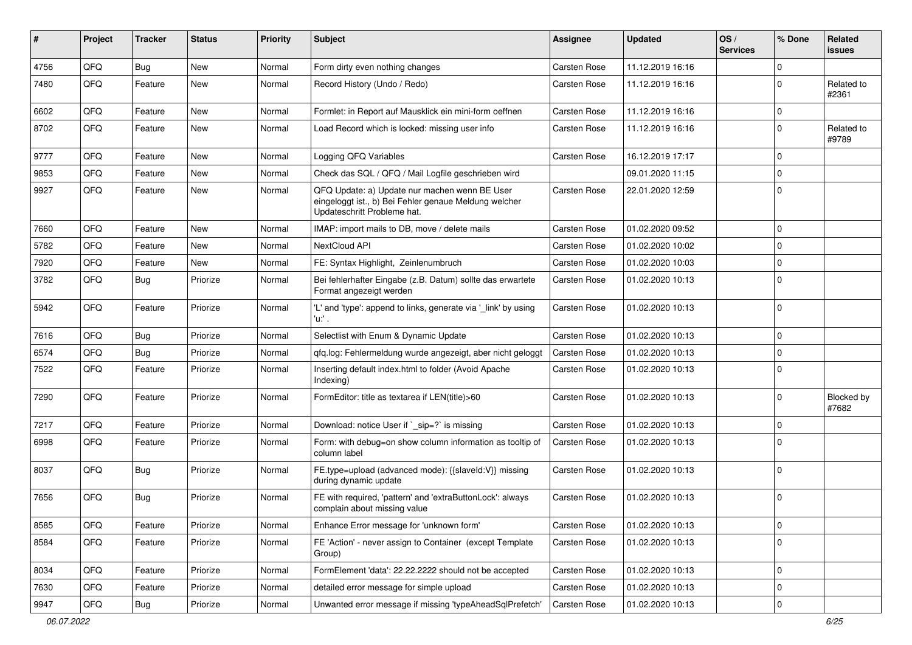| #    | Project | <b>Tracker</b> | <b>Status</b> | <b>Priority</b> | <b>Subject</b>                                                                                                                        | Assignee            | <b>Updated</b>   | OS/<br><b>Services</b> | % Done      | Related<br>issues          |
|------|---------|----------------|---------------|-----------------|---------------------------------------------------------------------------------------------------------------------------------------|---------------------|------------------|------------------------|-------------|----------------------------|
| 4756 | QFQ     | Bug            | <b>New</b>    | Normal          | Form dirty even nothing changes                                                                                                       | Carsten Rose        | 11.12.2019 16:16 |                        | $\Omega$    |                            |
| 7480 | QFQ     | Feature        | New           | Normal          | Record History (Undo / Redo)                                                                                                          | Carsten Rose        | 11.12.2019 16:16 |                        | $\Omega$    | Related to<br>#2361        |
| 6602 | QFQ     | Feature        | <b>New</b>    | Normal          | Formlet: in Report auf Mausklick ein mini-form oeffnen                                                                                | Carsten Rose        | 11.12.2019 16:16 |                        | 0           |                            |
| 8702 | QFQ     | Feature        | New           | Normal          | Load Record which is locked: missing user info                                                                                        | Carsten Rose        | 11.12.2019 16:16 |                        | 0           | Related to<br>#9789        |
| 9777 | QFQ     | Feature        | <b>New</b>    | Normal          | Logging QFQ Variables                                                                                                                 | Carsten Rose        | 16.12.2019 17:17 |                        | $\Omega$    |                            |
| 9853 | QFQ     | Feature        | <b>New</b>    | Normal          | Check das SQL / QFQ / Mail Logfile geschrieben wird                                                                                   |                     | 09.01.2020 11:15 |                        | $\Omega$    |                            |
| 9927 | QFQ     | Feature        | <b>New</b>    | Normal          | QFQ Update: a) Update nur machen wenn BE User<br>eingeloggt ist., b) Bei Fehler genaue Meldung welcher<br>Updateschritt Probleme hat. | Carsten Rose        | 22.01.2020 12:59 |                        | $\Omega$    |                            |
| 7660 | QFQ     | Feature        | <b>New</b>    | Normal          | IMAP: import mails to DB, move / delete mails                                                                                         | Carsten Rose        | 01.02.2020 09:52 |                        | 0           |                            |
| 5782 | QFQ     | Feature        | <b>New</b>    | Normal          | NextCloud API                                                                                                                         | Carsten Rose        | 01.02.2020 10:02 |                        | $\Omega$    |                            |
| 7920 | QFQ     | Feature        | New           | Normal          | FE: Syntax Highlight, Zeinlenumbruch                                                                                                  | Carsten Rose        | 01.02.2020 10:03 |                        | $\Omega$    |                            |
| 3782 | QFQ     | Bug            | Priorize      | Normal          | Bei fehlerhafter Eingabe (z.B. Datum) sollte das erwartete<br>Format angezeigt werden                                                 | Carsten Rose        | 01.02.2020 10:13 |                        | $\Omega$    |                            |
| 5942 | QFQ     | Feature        | Priorize      | Normal          | 'L' and 'type': append to links, generate via '_link' by using<br>$'u$ .                                                              | Carsten Rose        | 01.02.2020 10:13 |                        | $\Omega$    |                            |
| 7616 | QFQ     | Bug            | Priorize      | Normal          | Selectlist with Enum & Dynamic Update                                                                                                 | <b>Carsten Rose</b> | 01.02.2020 10:13 |                        | $\Omega$    |                            |
| 6574 | QFQ     | <b>Bug</b>     | Priorize      | Normal          | qfq.log: Fehlermeldung wurde angezeigt, aber nicht geloggt                                                                            | Carsten Rose        | 01.02.2020 10:13 |                        | $\Omega$    |                            |
| 7522 | QFQ     | Feature        | Priorize      | Normal          | Inserting default index.html to folder (Avoid Apache<br>Indexing)                                                                     | Carsten Rose        | 01.02.2020 10:13 |                        | $\Omega$    |                            |
| 7290 | QFQ     | Feature        | Priorize      | Normal          | FormEditor: title as textarea if LEN(title)>60                                                                                        | Carsten Rose        | 01.02.2020 10:13 |                        | $\Omega$    | <b>Blocked by</b><br>#7682 |
| 7217 | QFQ     | Feature        | Priorize      | Normal          | Download: notice User if `_sip=?` is missing                                                                                          | Carsten Rose        | 01.02.2020 10:13 |                        | $\Omega$    |                            |
| 6998 | QFQ     | Feature        | Priorize      | Normal          | Form: with debug=on show column information as tooltip of<br>column label                                                             | Carsten Rose        | 01.02.2020 10:13 |                        | $\Omega$    |                            |
| 8037 | QFQ     | Bug            | Priorize      | Normal          | FE.type=upload (advanced mode): {{slaveId:V}} missing<br>during dynamic update                                                        | Carsten Rose        | 01.02.2020 10:13 |                        | $\mathbf 0$ |                            |
| 7656 | QFQ     | Bug            | Priorize      | Normal          | FE with required, 'pattern' and 'extraButtonLock': always<br>complain about missing value                                             | Carsten Rose        | 01.02.2020 10:13 |                        | $\mathbf 0$ |                            |
| 8585 | QFQ     | Feature        | Priorize      | Normal          | Enhance Error message for 'unknown form'                                                                                              | Carsten Rose        | 01.02.2020 10:13 |                        | $\mathbf 0$ |                            |
| 8584 | QFQ     | Feature        | Priorize      | Normal          | FE 'Action' - never assign to Container (except Template<br>Group)                                                                    | Carsten Rose        | 01.02.2020 10:13 |                        | 0           |                            |
| 8034 | QFQ     | Feature        | Priorize      | Normal          | FormElement 'data': 22.22.2222 should not be accepted                                                                                 | Carsten Rose        | 01.02.2020 10:13 |                        | 0           |                            |
| 7630 | QFQ     | Feature        | Priorize      | Normal          | detailed error message for simple upload                                                                                              | Carsten Rose        | 01.02.2020 10:13 |                        | 0           |                            |
| 9947 | QFQ     | Bug            | Priorize      | Normal          | Unwanted error message if missing 'typeAheadSqlPrefetch'                                                                              | Carsten Rose        | 01.02.2020 10:13 |                        | $\mathbf 0$ |                            |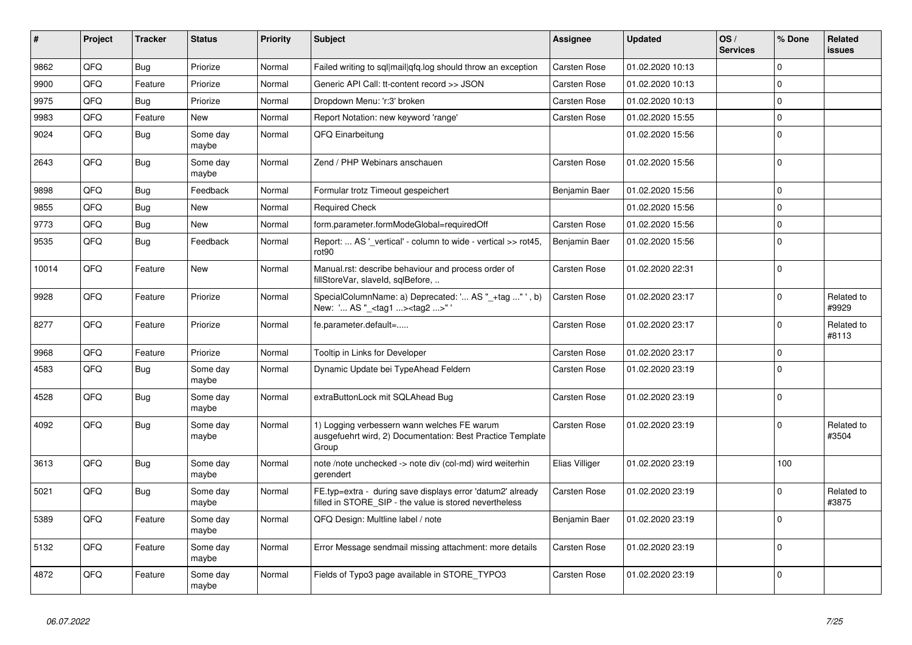| #     | Project | <b>Tracker</b> | <b>Status</b>     | Priority | <b>Subject</b>                                                                                                       | Assignee            | <b>Updated</b>   | OS/<br><b>Services</b> | % Done      | Related<br><b>issues</b> |
|-------|---------|----------------|-------------------|----------|----------------------------------------------------------------------------------------------------------------------|---------------------|------------------|------------------------|-------------|--------------------------|
| 9862  | QFQ     | Bug            | Priorize          | Normal   | Failed writing to sql mail qfq.log should throw an exception                                                         | Carsten Rose        | 01.02.2020 10:13 |                        | $\Omega$    |                          |
| 9900  | QFQ     | Feature        | Priorize          | Normal   | Generic API Call: tt-content record >> JSON                                                                          | Carsten Rose        | 01.02.2020 10:13 |                        | $\Omega$    |                          |
| 9975  | QFQ     | Bug            | Priorize          | Normal   | Dropdown Menu: 'r:3' broken                                                                                          | <b>Carsten Rose</b> | 01.02.2020 10:13 |                        | $\mathbf 0$ |                          |
| 9983  | QFQ     | Feature        | New               | Normal   | Report Notation: new keyword 'range'                                                                                 | <b>Carsten Rose</b> | 01.02.2020 15:55 |                        | $\mathbf 0$ |                          |
| 9024  | QFQ     | Bug            | Some day<br>maybe | Normal   | QFQ Einarbeitung                                                                                                     |                     | 01.02.2020 15:56 |                        | $\mathbf 0$ |                          |
| 2643  | QFQ     | Bug            | Some day<br>maybe | Normal   | Zend / PHP Webinars anschauen                                                                                        | Carsten Rose        | 01.02.2020 15:56 |                        | $\Omega$    |                          |
| 9898  | QFQ     | Bug            | Feedback          | Normal   | Formular trotz Timeout gespeichert                                                                                   | Benjamin Baer       | 01.02.2020 15:56 |                        | $\mathbf 0$ |                          |
| 9855  | QFQ     | <b>Bug</b>     | <b>New</b>        | Normal   | <b>Required Check</b>                                                                                                |                     | 01.02.2020 15:56 |                        | $\Omega$    |                          |
| 9773  | QFQ     | Bug            | <b>New</b>        | Normal   | form.parameter.formModeGlobal=requiredOff                                                                            | Carsten Rose        | 01.02.2020 15:56 |                        | $\Omega$    |                          |
| 9535  | QFQ     | <b>Bug</b>     | Feedback          | Normal   | Report:  AS ' vertical' - column to wide - vertical >> rot45,<br>rot90                                               | Benjamin Baer       | 01.02.2020 15:56 |                        | $\Omega$    |                          |
| 10014 | QFQ     | Feature        | <b>New</b>        | Normal   | Manual.rst: describe behaviour and process order of<br>fillStoreVar, slaveId, sqlBefore,                             | <b>Carsten Rose</b> | 01.02.2020 22:31 |                        | $\mathbf 0$ |                          |
| 9928  | QFQ     | Feature        | Priorize          | Normal   | SpecialColumnName: a) Deprecated: ' AS " +tag "', b)<br>New: ' AS "_ <tag1><tag2>"</tag2></tag1>                     | <b>Carsten Rose</b> | 01.02.2020 23:17 |                        | $\mathbf 0$ | Related to<br>#9929      |
| 8277  | QFQ     | Feature        | Priorize          | Normal   | fe.parameter.default=                                                                                                | Carsten Rose        | 01.02.2020 23:17 |                        | $\Omega$    | Related to<br>#8113      |
| 9968  | QFQ     | Feature        | Priorize          | Normal   | Tooltip in Links for Developer                                                                                       | Carsten Rose        | 01.02.2020 23:17 |                        | $\Omega$    |                          |
| 4583  | QFQ     | Bug            | Some dav<br>maybe | Normal   | Dynamic Update bei TypeAhead Feldern                                                                                 | Carsten Rose        | 01.02.2020 23:19 |                        | $\Omega$    |                          |
| 4528  | QFQ     | Bug            | Some day<br>maybe | Normal   | extraButtonLock mit SQLAhead Bug                                                                                     | Carsten Rose        | 01.02.2020 23:19 |                        | $\Omega$    |                          |
| 4092  | QFQ     | Bug            | Some day<br>maybe | Normal   | 1) Logging verbessern wann welches FE warum<br>ausgefuehrt wird, 2) Documentation: Best Practice Template<br>Group   | <b>Carsten Rose</b> | 01.02.2020 23:19 |                        | $\Omega$    | Related to<br>#3504      |
| 3613  | QFQ     | Bug            | Some day<br>maybe | Normal   | note /note unchecked -> note div (col-md) wird weiterhin<br>gerendert                                                | Elias Villiger      | 01.02.2020 23:19 |                        | 100         |                          |
| 5021  | QFQ     | <b>Bug</b>     | Some day<br>maybe | Normal   | FE.typ=extra - during save displays error 'datum2' already<br>filled in STORE SIP - the value is stored nevertheless | Carsten Rose        | 01.02.2020 23:19 |                        | $\Omega$    | Related to<br>#3875      |
| 5389  | QFQ     | Feature        | Some day<br>maybe | Normal   | QFQ Design: Multline label / note                                                                                    | Benjamin Baer       | 01.02.2020 23:19 |                        | $\Omega$    |                          |
| 5132  | QFQ     | Feature        | Some day<br>maybe | Normal   | Error Message sendmail missing attachment: more details                                                              | <b>Carsten Rose</b> | 01.02.2020 23:19 |                        | $\Omega$    |                          |
| 4872  | QFQ     | Feature        | Some day<br>maybe | Normal   | Fields of Typo3 page available in STORE TYPO3                                                                        | <b>Carsten Rose</b> | 01.02.2020 23:19 |                        | $\Omega$    |                          |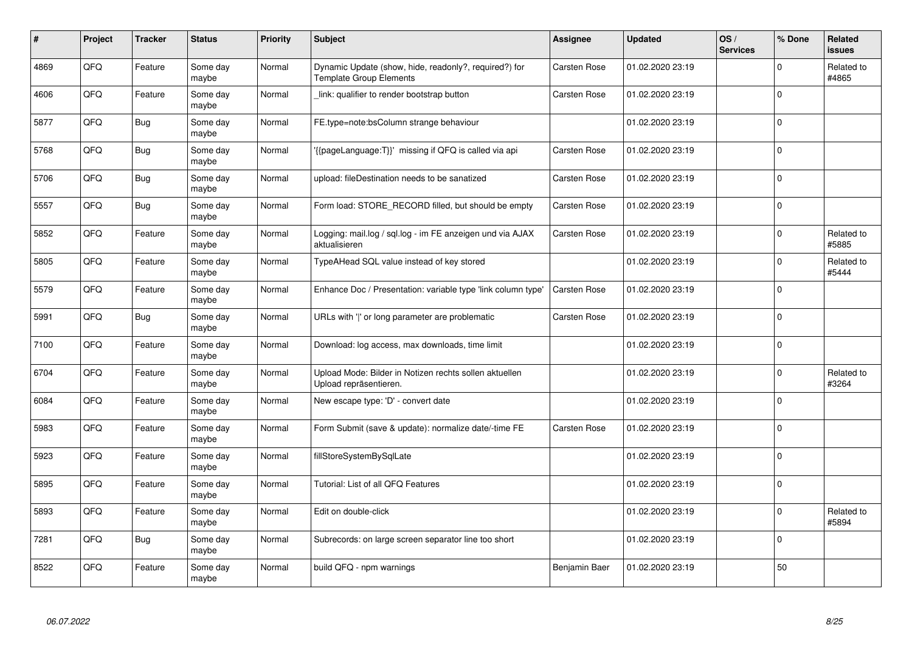| #    | Project | <b>Tracker</b> | <b>Status</b>     | <b>Priority</b> | <b>Subject</b>                                                                          | Assignee            | <b>Updated</b>   | OS/<br><b>Services</b> | % Done      | Related<br><b>issues</b> |
|------|---------|----------------|-------------------|-----------------|-----------------------------------------------------------------------------------------|---------------------|------------------|------------------------|-------------|--------------------------|
| 4869 | QFQ     | Feature        | Some day<br>maybe | Normal          | Dynamic Update (show, hide, readonly?, required?) for<br><b>Template Group Elements</b> | Carsten Rose        | 01.02.2020 23:19 |                        | $\Omega$    | Related to<br>#4865      |
| 4606 | QFQ     | Feature        | Some day<br>maybe | Normal          | link: qualifier to render bootstrap button                                              | Carsten Rose        | 01.02.2020 23:19 |                        | $\Omega$    |                          |
| 5877 | QFQ     | Bug            | Some day<br>maybe | Normal          | FE.type=note:bsColumn strange behaviour                                                 |                     | 01.02.2020 23:19 |                        | $\Omega$    |                          |
| 5768 | QFQ     | <b>Bug</b>     | Some day<br>maybe | Normal          | {{pageLanguage:T}}' missing if QFQ is called via api                                    | Carsten Rose        | 01.02.2020 23:19 |                        | $\Omega$    |                          |
| 5706 | QFQ     | Bug            | Some day<br>maybe | Normal          | upload: fileDestination needs to be sanatized                                           | Carsten Rose        | 01.02.2020 23:19 |                        | $\Omega$    |                          |
| 5557 | QFQ     | Bug            | Some day<br>maybe | Normal          | Form load: STORE RECORD filled, but should be empty                                     | Carsten Rose        | 01.02.2020 23:19 |                        | $\Omega$    |                          |
| 5852 | QFQ     | Feature        | Some day<br>maybe | Normal          | Logging: mail.log / sql.log - im FE anzeigen und via AJAX<br>aktualisieren              | Carsten Rose        | 01.02.2020 23:19 |                        | $\mathbf 0$ | Related to<br>#5885      |
| 5805 | QFQ     | Feature        | Some day<br>maybe | Normal          | TypeAHead SQL value instead of key stored                                               |                     | 01.02.2020 23:19 |                        | $\Omega$    | Related to<br>#5444      |
| 5579 | QFQ     | Feature        | Some day<br>maybe | Normal          | Enhance Doc / Presentation: variable type 'link column type'                            | <b>Carsten Rose</b> | 01.02.2020 23:19 |                        | $\Omega$    |                          |
| 5991 | QFQ     | Bug            | Some day<br>maybe | Normal          | URLs with ' ' or long parameter are problematic                                         | Carsten Rose        | 01.02.2020 23:19 |                        | $\Omega$    |                          |
| 7100 | QFQ     | Feature        | Some day<br>maybe | Normal          | Download: log access, max downloads, time limit                                         |                     | 01.02.2020 23:19 |                        | $\Omega$    |                          |
| 6704 | QFQ     | Feature        | Some day<br>maybe | Normal          | Upload Mode: Bilder in Notizen rechts sollen aktuellen<br>Upload repräsentieren.        |                     | 01.02.2020 23:19 |                        | $\Omega$    | Related to<br>#3264      |
| 6084 | QFQ     | Feature        | Some day<br>maybe | Normal          | New escape type: 'D' - convert date                                                     |                     | 01.02.2020 23:19 |                        | $\mathbf 0$ |                          |
| 5983 | QFQ     | Feature        | Some day<br>maybe | Normal          | Form Submit (save & update): normalize date/-time FE                                    | Carsten Rose        | 01.02.2020 23:19 |                        | $\mathbf 0$ |                          |
| 5923 | QFQ     | Feature        | Some day<br>maybe | Normal          | fillStoreSystemBySqlLate                                                                |                     | 01.02.2020 23:19 |                        | $\Omega$    |                          |
| 5895 | QFQ     | Feature        | Some day<br>maybe | Normal          | Tutorial: List of all QFQ Features                                                      |                     | 01.02.2020 23:19 |                        | $\Omega$    |                          |
| 5893 | QFQ     | Feature        | Some day<br>maybe | Normal          | Edit on double-click                                                                    |                     | 01.02.2020 23:19 |                        | $\Omega$    | Related to<br>#5894      |
| 7281 | QFQ     | Bug            | Some day<br>maybe | Normal          | Subrecords: on large screen separator line too short                                    |                     | 01.02.2020 23:19 |                        | $\Omega$    |                          |
| 8522 | QFQ     | Feature        | Some day<br>maybe | Normal          | build QFQ - npm warnings                                                                | Benjamin Baer       | 01.02.2020 23:19 |                        | 50          |                          |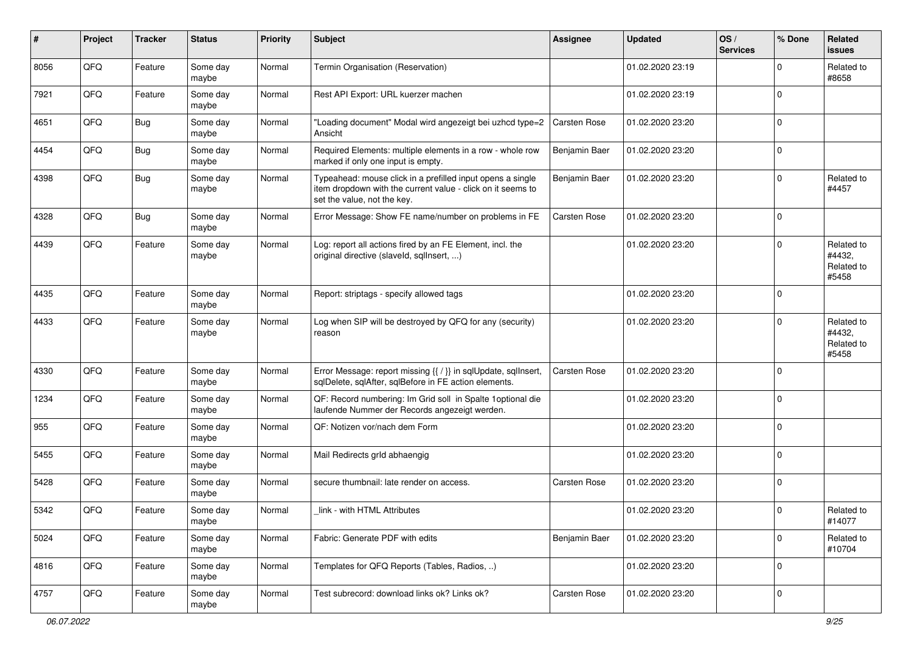| ∦    | Project | <b>Tracker</b> | <b>Status</b>     | <b>Priority</b> | <b>Subject</b>                                                                                                                                           | <b>Assignee</b> | <b>Updated</b>   | OS/<br><b>Services</b> | % Done      | Related<br><b>issues</b>                    |
|------|---------|----------------|-------------------|-----------------|----------------------------------------------------------------------------------------------------------------------------------------------------------|-----------------|------------------|------------------------|-------------|---------------------------------------------|
| 8056 | QFQ     | Feature        | Some day<br>maybe | Normal          | Termin Organisation (Reservation)                                                                                                                        |                 | 01.02.2020 23:19 |                        | $\Omega$    | Related to<br>#8658                         |
| 7921 | QFQ     | Feature        | Some day<br>maybe | Normal          | Rest API Export: URL kuerzer machen                                                                                                                      |                 | 01.02.2020 23:19 |                        | $\Omega$    |                                             |
| 4651 | QFQ     | Bug            | Some day<br>maybe | Normal          | "Loading document" Modal wird angezeigt bei uzhcd type=2<br>Ansicht                                                                                      | Carsten Rose    | 01.02.2020 23:20 |                        | $\Omega$    |                                             |
| 4454 | QFQ     | Bug            | Some day<br>maybe | Normal          | Required Elements: multiple elements in a row - whole row<br>marked if only one input is empty.                                                          | Benjamin Baer   | 01.02.2020 23:20 |                        | $\mathbf 0$ |                                             |
| 4398 | QFQ     | Bug            | Some day<br>maybe | Normal          | Typeahead: mouse click in a prefilled input opens a single<br>item dropdown with the current value - click on it seems to<br>set the value, not the key. | Benjamin Baer   | 01.02.2020 23:20 |                        | $\mathbf 0$ | Related to<br>#4457                         |
| 4328 | QFQ     | Bug            | Some day<br>maybe | Normal          | Error Message: Show FE name/number on problems in FE                                                                                                     | Carsten Rose    | 01.02.2020 23:20 |                        | $\mathbf 0$ |                                             |
| 4439 | QFQ     | Feature        | Some day<br>maybe | Normal          | Log: report all actions fired by an FE Element, incl. the<br>original directive (slaveld, sqlInsert, )                                                   |                 | 01.02.2020 23:20 |                        | $\Omega$    | Related to<br>#4432,<br>Related to<br>#5458 |
| 4435 | QFQ     | Feature        | Some day<br>maybe | Normal          | Report: striptags - specify allowed tags                                                                                                                 |                 | 01.02.2020 23:20 |                        | $\Omega$    |                                             |
| 4433 | QFQ     | Feature        | Some day<br>maybe | Normal          | Log when SIP will be destroyed by QFQ for any (security)<br>reason                                                                                       |                 | 01.02.2020 23:20 |                        | $\Omega$    | Related to<br>#4432,<br>Related to<br>#5458 |
| 4330 | QFQ     | Feature        | Some day<br>maybe | Normal          | Error Message: report missing {{ / }} in sqlUpdate, sqlInsert,<br>sqlDelete, sqlAfter, sqlBefore in FE action elements.                                  | Carsten Rose    | 01.02.2020 23:20 |                        | $\mathbf 0$ |                                             |
| 1234 | QFQ     | Feature        | Some day<br>maybe | Normal          | QF: Record numbering: Im Grid soll in Spalte 1 optional die<br>laufende Nummer der Records angezeigt werden.                                             |                 | 01.02.2020 23:20 |                        | $\Omega$    |                                             |
| 955  | QFQ     | Feature        | Some day<br>maybe | Normal          | QF: Notizen vor/nach dem Form                                                                                                                            |                 | 01.02.2020 23:20 |                        | $\Omega$    |                                             |
| 5455 | QFQ     | Feature        | Some day<br>maybe | Normal          | Mail Redirects grld abhaengig                                                                                                                            |                 | 01.02.2020 23:20 |                        | $\Omega$    |                                             |
| 5428 | QFQ     | Feature        | Some day<br>maybe | Normal          | secure thumbnail: late render on access.                                                                                                                 | Carsten Rose    | 01.02.2020 23:20 |                        | 0           |                                             |
| 5342 | QFQ     | Feature        | Some day<br>maybe | Normal          | link - with HTML Attributes                                                                                                                              |                 | 01.02.2020 23:20 |                        | 0           | Related to<br>#14077                        |
| 5024 | QFQ     | Feature        | Some day<br>maybe | Normal          | Fabric: Generate PDF with edits                                                                                                                          | Benjamin Baer   | 01.02.2020 23:20 |                        | $\mathbf 0$ | Related to<br>#10704                        |
| 4816 | QFQ     | Feature        | Some day<br>maybe | Normal          | Templates for QFQ Reports (Tables, Radios, )                                                                                                             |                 | 01.02.2020 23:20 |                        | 0           |                                             |
| 4757 | QFQ     | Feature        | Some day<br>maybe | Normal          | Test subrecord: download links ok? Links ok?                                                                                                             | Carsten Rose    | 01.02.2020 23:20 |                        | 0           |                                             |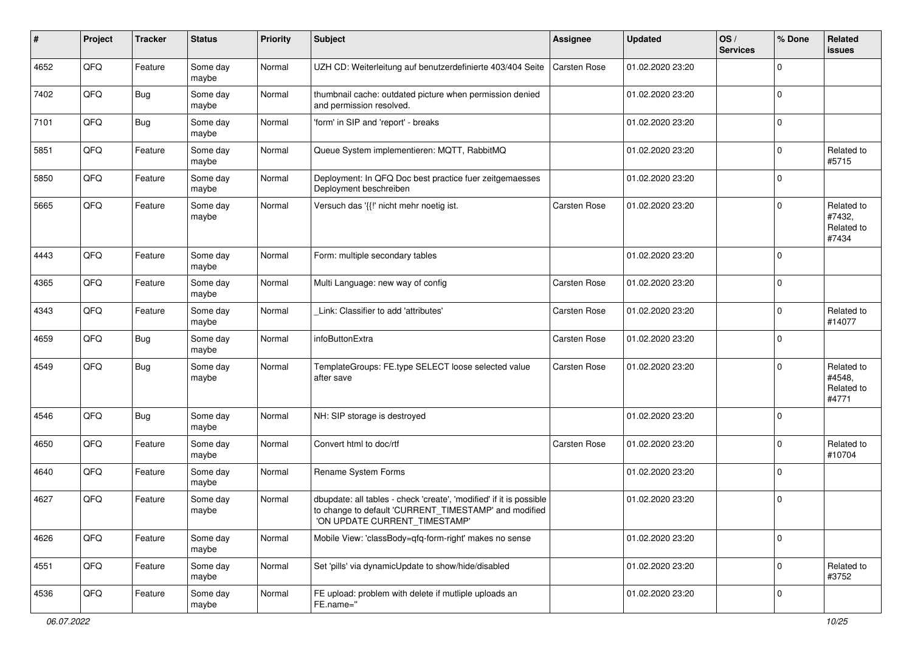| #    | Project | <b>Tracker</b> | <b>Status</b>     | <b>Priority</b> | <b>Subject</b>                                                                                                                                                | <b>Assignee</b> | <b>Updated</b>   | OS/<br><b>Services</b> | % Done      | Related<br><b>issues</b>                    |
|------|---------|----------------|-------------------|-----------------|---------------------------------------------------------------------------------------------------------------------------------------------------------------|-----------------|------------------|------------------------|-------------|---------------------------------------------|
| 4652 | QFQ     | Feature        | Some day<br>maybe | Normal          | UZH CD: Weiterleitung auf benutzerdefinierte 403/404 Seite                                                                                                    | Carsten Rose    | 01.02.2020 23:20 |                        | $\Omega$    |                                             |
| 7402 | QFQ     | Bug            | Some day<br>maybe | Normal          | thumbnail cache: outdated picture when permission denied<br>and permission resolved.                                                                          |                 | 01.02.2020 23:20 |                        | 0           |                                             |
| 7101 | QFQ     | <b>Bug</b>     | Some day<br>maybe | Normal          | 'form' in SIP and 'report' - breaks                                                                                                                           |                 | 01.02.2020 23:20 |                        | $\mathbf 0$ |                                             |
| 5851 | QFQ     | Feature        | Some day<br>maybe | Normal          | Queue System implementieren: MQTT, RabbitMQ                                                                                                                   |                 | 01.02.2020 23:20 |                        | $\mathbf 0$ | Related to<br>#5715                         |
| 5850 | QFQ     | Feature        | Some day<br>maybe | Normal          | Deployment: In QFQ Doc best practice fuer zeitgemaesses<br>Deployment beschreiben                                                                             |                 | 01.02.2020 23:20 |                        | $\mathbf 0$ |                                             |
| 5665 | QFQ     | Feature        | Some day<br>maybe | Normal          | Versuch das '{{!' nicht mehr noetig ist.                                                                                                                      | Carsten Rose    | 01.02.2020 23:20 |                        | $\Omega$    | Related to<br>#7432,<br>Related to<br>#7434 |
| 4443 | QFQ     | Feature        | Some day<br>maybe | Normal          | Form: multiple secondary tables                                                                                                                               |                 | 01.02.2020 23:20 |                        | $\mathbf 0$ |                                             |
| 4365 | QFQ     | Feature        | Some day<br>maybe | Normal          | Multi Language: new way of config                                                                                                                             | Carsten Rose    | 01.02.2020 23:20 |                        | 0           |                                             |
| 4343 | QFQ     | Feature        | Some day<br>maybe | Normal          | Link: Classifier to add 'attributes'                                                                                                                          | Carsten Rose    | 01.02.2020 23:20 |                        | $\Omega$    | Related to<br>#14077                        |
| 4659 | QFQ     | Bug            | Some day<br>maybe | Normal          | infoButtonExtra                                                                                                                                               | Carsten Rose    | 01.02.2020 23:20 |                        | $\mathbf 0$ |                                             |
| 4549 | QFQ     | Bug            | Some day<br>maybe | Normal          | TemplateGroups: FE.type SELECT loose selected value<br>after save                                                                                             | Carsten Rose    | 01.02.2020 23:20 |                        | $\mathbf 0$ | Related to<br>#4548,<br>Related to<br>#4771 |
| 4546 | QFQ     | Bug            | Some day<br>maybe | Normal          | NH: SIP storage is destroyed                                                                                                                                  |                 | 01.02.2020 23:20 |                        | $\Omega$    |                                             |
| 4650 | QFQ     | Feature        | Some day<br>maybe | Normal          | Convert html to doc/rtf                                                                                                                                       | Carsten Rose    | 01.02.2020 23:20 |                        | $\mathbf 0$ | Related to<br>#10704                        |
| 4640 | QFQ     | Feature        | Some day<br>maybe | Normal          | Rename System Forms                                                                                                                                           |                 | 01.02.2020 23:20 |                        | 0           |                                             |
| 4627 | QFQ     | Feature        | Some day<br>maybe | Normal          | dbupdate: all tables - check 'create', 'modified' if it is possible<br>to change to default 'CURRENT_TIMESTAMP' and modified<br>'ON UPDATE CURRENT TIMESTAMP' |                 | 01.02.2020 23:20 |                        | $\Omega$    |                                             |
| 4626 | QFQ     | Feature        | Some day<br>maybe | Normal          | Mobile View: 'classBody=qfq-form-right' makes no sense                                                                                                        |                 | 01.02.2020 23:20 |                        | $\mathbf 0$ |                                             |
| 4551 | QFQ     | Feature        | Some day<br>maybe | Normal          | Set 'pills' via dynamicUpdate to show/hide/disabled                                                                                                           |                 | 01.02.2020 23:20 |                        | $\mathbf 0$ | Related to<br>#3752                         |
| 4536 | QFG     | Feature        | Some day<br>maybe | Normal          | FE upload: problem with delete if mutliple uploads an<br>FE.name="                                                                                            |                 | 01.02.2020 23:20 |                        | 0           |                                             |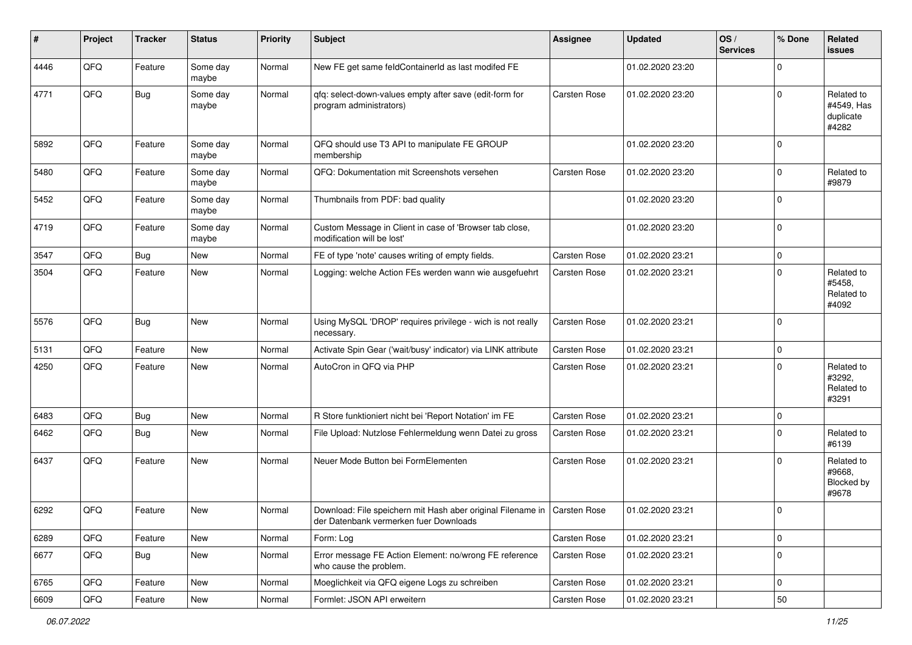| #    | Project | <b>Tracker</b> | <b>Status</b>     | <b>Priority</b> | <b>Subject</b>                                                                                                       | <b>Assignee</b> | <b>Updated</b>   | OS/<br><b>Services</b> | % Done      | Related<br><b>issues</b>                       |
|------|---------|----------------|-------------------|-----------------|----------------------------------------------------------------------------------------------------------------------|-----------------|------------------|------------------------|-------------|------------------------------------------------|
| 4446 | QFQ     | Feature        | Some day<br>maybe | Normal          | New FE get same feldContainerId as last modifed FE                                                                   |                 | 01.02.2020 23:20 |                        | $\Omega$    |                                                |
| 4771 | QFQ     | Bug            | Some day<br>maybe | Normal          | qfq: select-down-values empty after save (edit-form for<br>program administrators)                                   | Carsten Rose    | 01.02.2020 23:20 |                        | $\Omega$    | Related to<br>#4549, Has<br>duplicate<br>#4282 |
| 5892 | QFQ     | Feature        | Some day<br>maybe | Normal          | QFQ should use T3 API to manipulate FE GROUP<br>membership                                                           |                 | 01.02.2020 23:20 |                        | $\mathbf 0$ |                                                |
| 5480 | QFQ     | Feature        | Some day<br>maybe | Normal          | QFQ: Dokumentation mit Screenshots versehen                                                                          | Carsten Rose    | 01.02.2020 23:20 |                        | $\Omega$    | Related to<br>#9879                            |
| 5452 | QFQ     | Feature        | Some day<br>maybe | Normal          | Thumbnails from PDF: bad quality                                                                                     |                 | 01.02.2020 23:20 |                        | $\Omega$    |                                                |
| 4719 | QFQ     | Feature        | Some day<br>maybe | Normal          | Custom Message in Client in case of 'Browser tab close,<br>modification will be lost'                                |                 | 01.02.2020 23:20 |                        | $\Omega$    |                                                |
| 3547 | QFQ     | Bug            | New               | Normal          | FE of type 'note' causes writing of empty fields.                                                                    | Carsten Rose    | 01.02.2020 23:21 |                        | $\mathbf 0$ |                                                |
| 3504 | QFQ     | Feature        | New               | Normal          | Logging: welche Action FEs werden wann wie ausgefuehrt                                                               | Carsten Rose    | 01.02.2020 23:21 |                        | $\mathbf 0$ | Related to<br>#5458,<br>Related to<br>#4092    |
| 5576 | QFQ     | Bug            | <b>New</b>        | Normal          | Using MySQL 'DROP' requires privilege - wich is not really<br>necessary.                                             | Carsten Rose    | 01.02.2020 23:21 |                        | $\Omega$    |                                                |
| 5131 | QFQ     | Feature        | <b>New</b>        | Normal          | Activate Spin Gear ('wait/busy' indicator) via LINK attribute                                                        | Carsten Rose    | 01.02.2020 23:21 |                        | $\mathbf 0$ |                                                |
| 4250 | QFQ     | Feature        | New               | Normal          | AutoCron in QFQ via PHP                                                                                              | Carsten Rose    | 01.02.2020 23:21 |                        | $\Omega$    | Related to<br>#3292,<br>Related to<br>#3291    |
| 6483 | QFQ     | Bug            | <b>New</b>        | Normal          | R Store funktioniert nicht bei 'Report Notation' im FE                                                               | Carsten Rose    | 01.02.2020 23:21 |                        | $\mathbf 0$ |                                                |
| 6462 | QFQ     | Bug            | <b>New</b>        | Normal          | File Upload: Nutzlose Fehlermeldung wenn Datei zu gross                                                              | Carsten Rose    | 01.02.2020 23:21 |                        | $\mathbf 0$ | Related to<br>#6139                            |
| 6437 | QFQ     | Feature        | New               | Normal          | Neuer Mode Button bei FormElementen                                                                                  | Carsten Rose    | 01.02.2020 23:21 |                        | $\Omega$    | Related to<br>#9668,<br>Blocked by<br>#9678    |
| 6292 | QFQ     | Feature        | New               | Normal          | Download: File speichern mit Hash aber original Filename in   Carsten Rose<br>der Datenbank vermerken fuer Downloads |                 | 01.02.2020 23:21 |                        | l 0         |                                                |
| 6289 | QFQ     | Feature        | New               | Normal          | Form: Log                                                                                                            | Carsten Rose    | 01.02.2020 23:21 |                        | $\mathbf 0$ |                                                |
| 6677 | QFQ     | Bug            | New               | Normal          | Error message FE Action Element: no/wrong FE reference<br>who cause the problem.                                     | Carsten Rose    | 01.02.2020 23:21 |                        | 0           |                                                |
| 6765 | QFQ     | Feature        | New               | Normal          | Moeglichkeit via QFQ eigene Logs zu schreiben                                                                        | Carsten Rose    | 01.02.2020 23:21 |                        | $\mathbf 0$ |                                                |
| 6609 | QFQ     | Feature        | New               | Normal          | Formlet: JSON API erweitern                                                                                          | Carsten Rose    | 01.02.2020 23:21 |                        | 50          |                                                |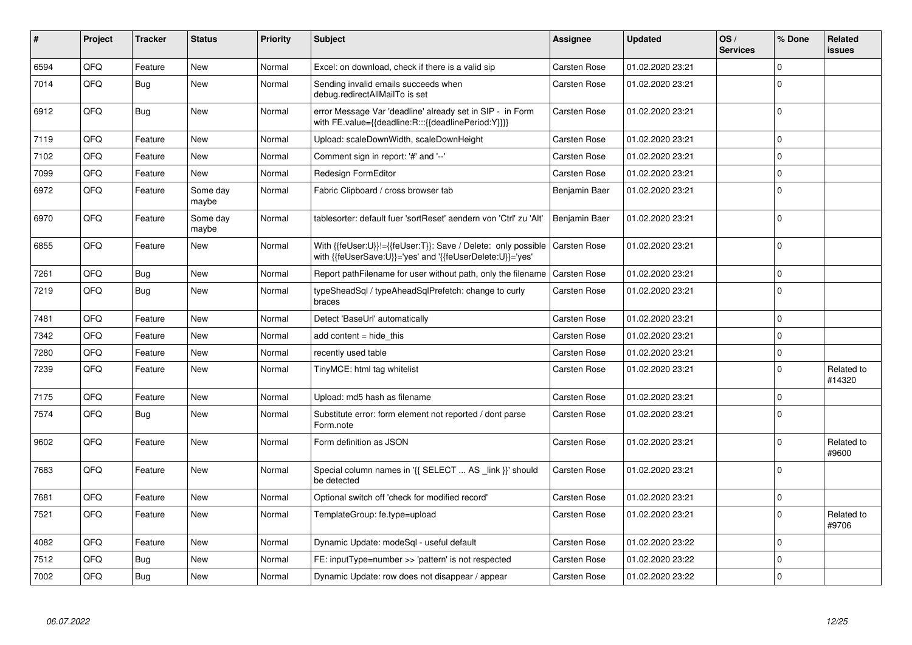| #    | Project | Tracker    | <b>Status</b>     | <b>Priority</b> | <b>Subject</b>                                                                                                             | Assignee            | <b>Updated</b>   | OS/<br><b>Services</b> | % Done         | Related<br>issues    |
|------|---------|------------|-------------------|-----------------|----------------------------------------------------------------------------------------------------------------------------|---------------------|------------------|------------------------|----------------|----------------------|
| 6594 | QFQ     | Feature    | <b>New</b>        | Normal          | Excel: on download, check if there is a valid sip                                                                          | Carsten Rose        | 01.02.2020 23:21 |                        | $\Omega$       |                      |
| 7014 | QFQ     | Bug        | New               | Normal          | Sending invalid emails succeeds when<br>debug.redirectAllMailTo is set                                                     | Carsten Rose        | 01.02.2020 23:21 |                        | $\Omega$       |                      |
| 6912 | QFQ     | Bug        | <b>New</b>        | Normal          | error Message Var 'deadline' already set in SIP - in Form<br>with FE.value={{deadline:R:::{{deadlinePeriod:Y}}}}           | Carsten Rose        | 01.02.2020 23:21 |                        | $\Omega$       |                      |
| 7119 | QFQ     | Feature    | <b>New</b>        | Normal          | Upload: scaleDownWidth, scaleDownHeight                                                                                    | Carsten Rose        | 01.02.2020 23:21 |                        | $\Omega$       |                      |
| 7102 | QFQ     | Feature    | <b>New</b>        | Normal          | Comment sign in report: '#' and '--'                                                                                       | Carsten Rose        | 01.02.2020 23:21 |                        | $\mathbf 0$    |                      |
| 7099 | QFQ     | Feature    | New               | Normal          | Redesign FormEditor                                                                                                        | Carsten Rose        | 01.02.2020 23:21 |                        | $\mathbf 0$    |                      |
| 6972 | QFQ     | Feature    | Some day<br>maybe | Normal          | Fabric Clipboard / cross browser tab                                                                                       | Benjamin Baer       | 01.02.2020 23:21 |                        | $\Omega$       |                      |
| 6970 | QFQ     | Feature    | Some day<br>maybe | Normal          | tablesorter: default fuer 'sortReset' aendern von 'Ctrl' zu 'Alt'                                                          | Benjamin Baer       | 01.02.2020 23:21 |                        | $\Omega$       |                      |
| 6855 | QFQ     | Feature    | New               | Normal          | With {{feUser:U}}!={{feUser:T}}: Save / Delete: only possible<br>with {{feUserSave:U}}='yes' and '{{feUserDelete:U}}='yes' | <b>Carsten Rose</b> | 01.02.2020 23:21 |                        | $\Omega$       |                      |
| 7261 | QFQ     | <b>Bug</b> | <b>New</b>        | Normal          | Report pathFilename for user without path, only the filename                                                               | Carsten Rose        | 01.02.2020 23:21 |                        | $\mathbf 0$    |                      |
| 7219 | QFQ     | Bug        | <b>New</b>        | Normal          | typeSheadSql / typeAheadSqlPrefetch: change to curly<br>braces                                                             | Carsten Rose        | 01.02.2020 23:21 |                        | $\Omega$       |                      |
| 7481 | QFQ     | Feature    | <b>New</b>        | Normal          | Detect 'BaseUrl' automatically                                                                                             | Carsten Rose        | 01.02.2020 23:21 |                        | $\mathbf 0$    |                      |
| 7342 | QFQ     | Feature    | <b>New</b>        | Normal          | add content $=$ hide this                                                                                                  | Carsten Rose        | 01.02.2020 23:21 |                        | $\Omega$       |                      |
| 7280 | QFQ     | Feature    | <b>New</b>        | Normal          | recently used table                                                                                                        | Carsten Rose        | 01.02.2020 23:21 |                        | $\Omega$       |                      |
| 7239 | QFQ     | Feature    | <b>New</b>        | Normal          | TinyMCE: html tag whitelist                                                                                                | Carsten Rose        | 01.02.2020 23:21 |                        | $\Omega$       | Related to<br>#14320 |
| 7175 | QFQ     | Feature    | New               | Normal          | Upload: md5 hash as filename                                                                                               | <b>Carsten Rose</b> | 01.02.2020 23:21 |                        | $\Omega$       |                      |
| 7574 | QFQ     | Bug        | <b>New</b>        | Normal          | Substitute error: form element not reported / dont parse<br>Form.note                                                      | Carsten Rose        | 01.02.2020 23:21 |                        | $\Omega$       |                      |
| 9602 | QFQ     | Feature    | New               | Normal          | Form definition as JSON                                                                                                    | <b>Carsten Rose</b> | 01.02.2020 23:21 |                        | $\Omega$       | Related to<br>#9600  |
| 7683 | QFQ     | Feature    | <b>New</b>        | Normal          | Special column names in '{{ SELECT  AS _link }}' should<br>be detected                                                     | Carsten Rose        | 01.02.2020 23:21 |                        | $\Omega$       |                      |
| 7681 | QFQ     | Feature    | <b>New</b>        | Normal          | Optional switch off 'check for modified record'                                                                            | Carsten Rose        | 01.02.2020 23:21 |                        | $\mathbf 0$    |                      |
| 7521 | QFQ     | Feature    | <b>New</b>        | Normal          | TemplateGroup: fe.type=upload                                                                                              | Carsten Rose        | 01.02.2020 23:21 |                        | $\Omega$       | Related to<br>#9706  |
| 4082 | QFQ     | Feature    | <b>New</b>        | Normal          | Dynamic Update: modeSql - useful default                                                                                   | Carsten Rose        | 01.02.2020 23:22 |                        | $\Omega$       |                      |
| 7512 | QFQ     | Bug        | New               | Normal          | FE: inputType=number >> 'pattern' is not respected                                                                         | <b>Carsten Rose</b> | 01.02.2020 23:22 |                        | $\mathbf 0$    |                      |
| 7002 | QFQ     | Bug        | <b>New</b>        | Normal          | Dynamic Update: row does not disappear / appear                                                                            | Carsten Rose        | 01.02.2020 23:22 |                        | $\overline{0}$ |                      |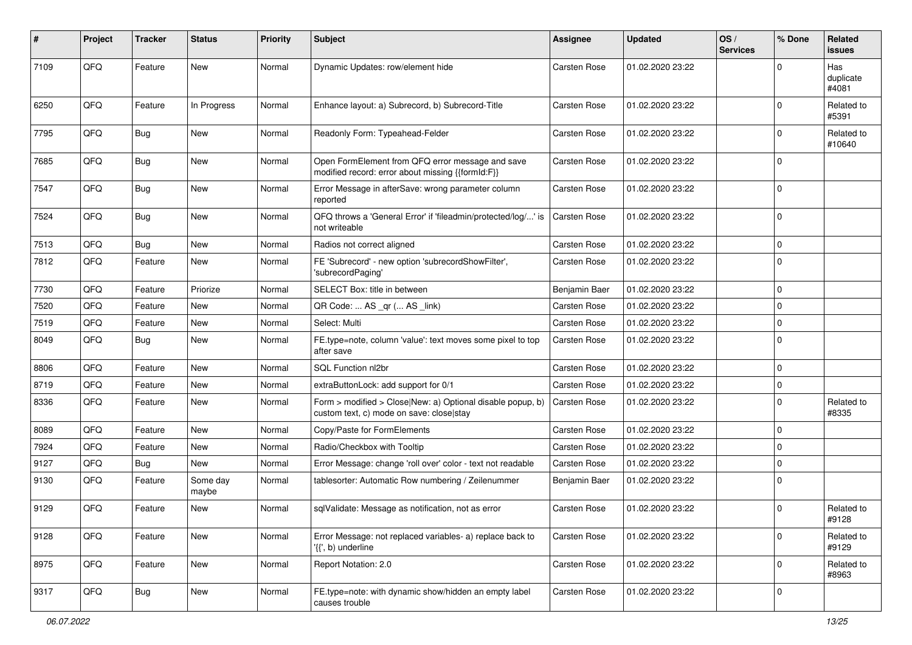| ∦    | Project | <b>Tracker</b> | <b>Status</b>     | <b>Priority</b> | <b>Subject</b>                                                                                         | <b>Assignee</b>     | <b>Updated</b>   | OS/<br><b>Services</b> | % Done      | Related<br>issues         |
|------|---------|----------------|-------------------|-----------------|--------------------------------------------------------------------------------------------------------|---------------------|------------------|------------------------|-------------|---------------------------|
| 7109 | QFQ     | Feature        | <b>New</b>        | Normal          | Dynamic Updates: row/element hide                                                                      | <b>Carsten Rose</b> | 01.02.2020 23:22 |                        | $\Omega$    | Has<br>duplicate<br>#4081 |
| 6250 | QFQ     | Feature        | In Progress       | Normal          | Enhance layout: a) Subrecord, b) Subrecord-Title                                                       | Carsten Rose        | 01.02.2020 23:22 |                        | $\Omega$    | Related to<br>#5391       |
| 7795 | QFQ     | Bug            | <b>New</b>        | Normal          | Readonly Form: Typeahead-Felder                                                                        | Carsten Rose        | 01.02.2020 23:22 |                        | $\Omega$    | Related to<br>#10640      |
| 7685 | QFQ     | Bug            | <b>New</b>        | Normal          | Open FormElement from QFQ error message and save<br>modified record: error about missing {{formId:F}}  | Carsten Rose        | 01.02.2020 23:22 |                        | $\Omega$    |                           |
| 7547 | QFQ     | Bug            | New               | Normal          | Error Message in afterSave: wrong parameter column<br>reported                                         | Carsten Rose        | 01.02.2020 23:22 |                        | $\Omega$    |                           |
| 7524 | QFQ     | Bug            | New               | Normal          | QFQ throws a 'General Error' if 'fileadmin/protected/log/' is<br>not writeable                         | Carsten Rose        | 01.02.2020 23:22 |                        | $\mathbf 0$ |                           |
| 7513 | QFQ     | Bug            | <b>New</b>        | Normal          | Radios not correct aligned                                                                             | Carsten Rose        | 01.02.2020 23:22 |                        | $\mathbf 0$ |                           |
| 7812 | QFQ     | Feature        | <b>New</b>        | Normal          | FE 'Subrecord' - new option 'subrecordShowFilter',<br>'subrecordPaging'                                | Carsten Rose        | 01.02.2020 23:22 |                        | $\mathbf 0$ |                           |
| 7730 | QFQ     | Feature        | Priorize          | Normal          | SELECT Box: title in between                                                                           | Benjamin Baer       | 01.02.2020 23:22 |                        | $\Omega$    |                           |
| 7520 | QFQ     | Feature        | New               | Normal          | QR Code:  AS _qr ( AS _link)                                                                           | Carsten Rose        | 01.02.2020 23:22 |                        | 0           |                           |
| 7519 | QFQ     | Feature        | <b>New</b>        | Normal          | Select: Multi                                                                                          | Carsten Rose        | 01.02.2020 23:22 |                        | $\mathbf 0$ |                           |
| 8049 | QFQ     | Bug            | New               | Normal          | FE.type=note, column 'value': text moves some pixel to top<br>after save                               | Carsten Rose        | 01.02.2020 23:22 |                        | 0           |                           |
| 8806 | QFQ     | Feature        | <b>New</b>        | Normal          | SQL Function nl2br                                                                                     | Carsten Rose        | 01.02.2020 23:22 |                        | $\mathbf 0$ |                           |
| 8719 | QFQ     | Feature        | <b>New</b>        | Normal          | extraButtonLock: add support for 0/1                                                                   | Carsten Rose        | 01.02.2020 23:22 |                        | $\mathbf 0$ |                           |
| 8336 | QFQ     | Feature        | New               | Normal          | Form > modified > Close New: a) Optional disable popup, b)<br>custom text, c) mode on save: close stay | Carsten Rose        | 01.02.2020 23:22 |                        | $\mathbf 0$ | Related to<br>#8335       |
| 8089 | QFQ     | Feature        | New               | Normal          | Copy/Paste for FormElements                                                                            | Carsten Rose        | 01.02.2020 23:22 |                        | 0           |                           |
| 7924 | QFQ     | Feature        | <b>New</b>        | Normal          | Radio/Checkbox with Tooltip                                                                            | Carsten Rose        | 01.02.2020 23:22 |                        | $\mathbf 0$ |                           |
| 9127 | QFQ     | Bug            | New               | Normal          | Error Message: change 'roll over' color - text not readable                                            | Carsten Rose        | 01.02.2020 23:22 |                        | $\mathbf 0$ |                           |
| 9130 | QFQ     | Feature        | Some day<br>maybe | Normal          | tablesorter: Automatic Row numbering / Zeilenummer                                                     | Benjamin Baer       | 01.02.2020 23:22 |                        | $\Omega$    |                           |
| 9129 | QFQ     | Feature        | <b>New</b>        | Normal          | sqlValidate: Message as notification, not as error                                                     | Carsten Rose        | 01.02.2020 23:22 |                        | $\mathbf 0$ | Related to<br>#9128       |
| 9128 | QFQ     | Feature        | New               | Normal          | Error Message: not replaced variables- a) replace back to<br>'{{', b) underline                        | Carsten Rose        | 01.02.2020 23:22 |                        | 0           | Related to<br>#9129       |
| 8975 | QFQ     | Feature        | New               | Normal          | Report Notation: 2.0                                                                                   | Carsten Rose        | 01.02.2020 23:22 |                        | $\mathbf 0$ | Related to<br>#8963       |
| 9317 | QFQ     | <b>Bug</b>     | New               | Normal          | FE.type=note: with dynamic show/hidden an empty label<br>causes trouble                                | Carsten Rose        | 01.02.2020 23:22 |                        | 0           |                           |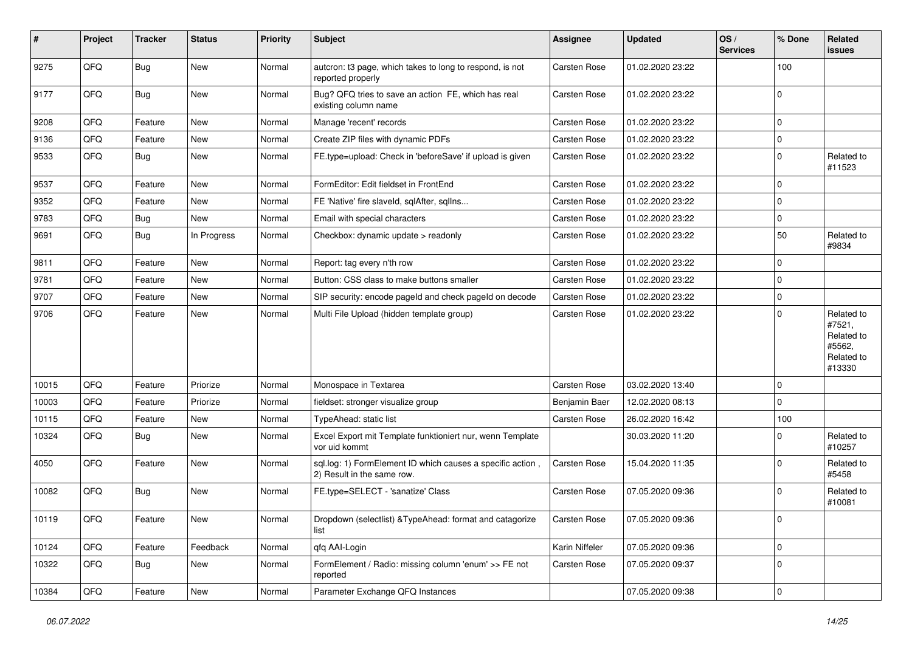| #     | Project | <b>Tracker</b> | <b>Status</b> | <b>Priority</b> | Subject                                                                                  | Assignee            | <b>Updated</b>   | OS/<br><b>Services</b> | % Done      | Related<br>issues                                                    |
|-------|---------|----------------|---------------|-----------------|------------------------------------------------------------------------------------------|---------------------|------------------|------------------------|-------------|----------------------------------------------------------------------|
| 9275  | QFQ     | <b>Bug</b>     | New           | Normal          | autcron: t3 page, which takes to long to respond, is not<br>reported properly            | Carsten Rose        | 01.02.2020 23:22 |                        | 100         |                                                                      |
| 9177  | QFQ     | Bug            | New           | Normal          | Bug? QFQ tries to save an action FE, which has real<br>existing column name              | <b>Carsten Rose</b> | 01.02.2020 23:22 |                        | $\Omega$    |                                                                      |
| 9208  | QFQ     | Feature        | New           | Normal          | Manage 'recent' records                                                                  | Carsten Rose        | 01.02.2020 23:22 |                        | $\mathbf 0$ |                                                                      |
| 9136  | QFQ     | Feature        | New           | Normal          | Create ZIP files with dynamic PDFs                                                       | Carsten Rose        | 01.02.2020 23:22 |                        | $\mathbf 0$ |                                                                      |
| 9533  | QFQ     | Bug            | New           | Normal          | FE.type=upload: Check in 'beforeSave' if upload is given                                 | Carsten Rose        | 01.02.2020 23:22 |                        | $\Omega$    | Related to<br>#11523                                                 |
| 9537  | QFQ     | Feature        | New           | Normal          | FormEditor: Edit fieldset in FrontEnd                                                    | Carsten Rose        | 01.02.2020 23:22 |                        | 0           |                                                                      |
| 9352  | QFQ     | Feature        | New           | Normal          | FE 'Native' fire slaveld, sqlAfter, sqlIns                                               | Carsten Rose        | 01.02.2020 23:22 |                        | $\mathbf 0$ |                                                                      |
| 9783  | QFQ     | <b>Bug</b>     | New           | Normal          | Email with special characters                                                            | <b>Carsten Rose</b> | 01.02.2020 23:22 |                        | $\mathbf 0$ |                                                                      |
| 9691  | QFQ     | <b>Bug</b>     | In Progress   | Normal          | Checkbox: dynamic update > readonly                                                      | Carsten Rose        | 01.02.2020 23:22 |                        | 50          | Related to<br>#9834                                                  |
| 9811  | QFQ     | Feature        | New           | Normal          | Report: tag every n'th row                                                               | Carsten Rose        | 01.02.2020 23:22 |                        | $\mathbf 0$ |                                                                      |
| 9781  | QFQ     | Feature        | New           | Normal          | Button: CSS class to make buttons smaller                                                | Carsten Rose        | 01.02.2020 23:22 |                        | $\mathbf 0$ |                                                                      |
| 9707  | QFQ     | Feature        | New           | Normal          | SIP security: encode pageld and check pageld on decode                                   | Carsten Rose        | 01.02.2020 23:22 |                        | $\mathbf 0$ |                                                                      |
| 9706  | QFQ     | Feature        | New           | Normal          | Multi File Upload (hidden template group)                                                | Carsten Rose        | 01.02.2020 23:22 |                        | $\mathbf 0$ | Related to<br>#7521,<br>Related to<br>#5562,<br>Related to<br>#13330 |
| 10015 | QFQ     | Feature        | Priorize      | Normal          | Monospace in Textarea                                                                    | Carsten Rose        | 03.02.2020 13:40 |                        | 0           |                                                                      |
| 10003 | QFQ     | Feature        | Priorize      | Normal          | fieldset: stronger visualize group                                                       | Benjamin Baer       | 12.02.2020 08:13 |                        | $\mathbf 0$ |                                                                      |
| 10115 | QFQ     | Feature        | New           | Normal          | TypeAhead: static list                                                                   | <b>Carsten Rose</b> | 26.02.2020 16:42 |                        | 100         |                                                                      |
| 10324 | QFQ     | Bug            | New           | Normal          | Excel Export mit Template funktioniert nur, wenn Template<br>vor uid kommt               |                     | 30.03.2020 11:20 |                        | 0           | Related to<br>#10257                                                 |
| 4050  | QFQ     | Feature        | New           | Normal          | sql.log: 1) FormElement ID which causes a specific action,<br>2) Result in the same row. | Carsten Rose        | 15.04.2020 11:35 |                        | $\Omega$    | Related to<br>#5458                                                  |
| 10082 | QFQ     | Bug            | New           | Normal          | FE.type=SELECT - 'sanatize' Class                                                        | Carsten Rose        | 07.05.2020 09:36 |                        | $\Omega$    | Related to<br>#10081                                                 |
| 10119 | QFQ     | Feature        | New           | Normal          | Dropdown (selectlist) & TypeAhead: format and catagorize<br>list                         | Carsten Rose        | 07.05.2020 09:36 |                        | 0           |                                                                      |
| 10124 | QFQ     | Feature        | Feedback      | Normal          | qfq AAI-Login                                                                            | Karin Niffeler      | 07.05.2020 09:36 |                        | 0           |                                                                      |
| 10322 | QFQ     | Bug            | New           | Normal          | FormElement / Radio: missing column 'enum' >> FE not<br>reported                         | Carsten Rose        | 07.05.2020 09:37 |                        | 0           |                                                                      |
| 10384 | QFQ     | Feature        | New           | Normal          | Parameter Exchange QFQ Instances                                                         |                     | 07.05.2020 09:38 |                        | 0           |                                                                      |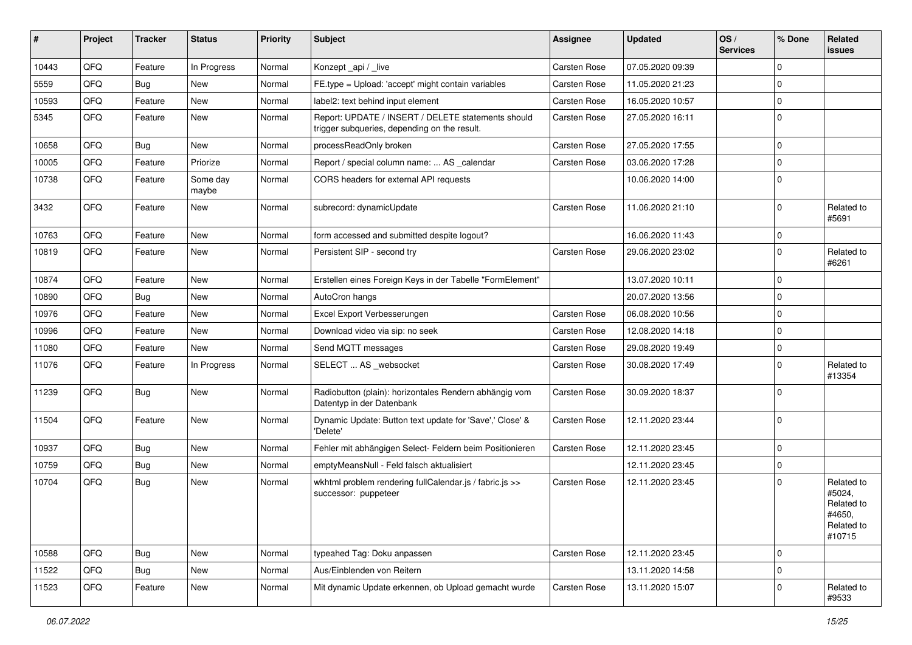| #     | Project | <b>Tracker</b> | <b>Status</b>     | <b>Priority</b> | Subject                                                                                            | Assignee     | <b>Updated</b>   | OS/<br><b>Services</b> | % Done      | Related<br>issues                                                    |
|-------|---------|----------------|-------------------|-----------------|----------------------------------------------------------------------------------------------------|--------------|------------------|------------------------|-------------|----------------------------------------------------------------------|
| 10443 | QFQ     | Feature        | In Progress       | Normal          | Konzept_api / _live                                                                                | Carsten Rose | 07.05.2020 09:39 |                        | $\Omega$    |                                                                      |
| 5559  | QFQ     | Bug            | New               | Normal          | FE.type = Upload: 'accept' might contain variables                                                 | Carsten Rose | 11.05.2020 21:23 |                        | $\mathbf 0$ |                                                                      |
| 10593 | QFQ     | Feature        | New               | Normal          | label2: text behind input element                                                                  | Carsten Rose | 16.05.2020 10:57 |                        | $\Omega$    |                                                                      |
| 5345  | QFQ     | Feature        | New               | Normal          | Report: UPDATE / INSERT / DELETE statements should<br>trigger subqueries, depending on the result. | Carsten Rose | 27.05.2020 16:11 |                        | $\Omega$    |                                                                      |
| 10658 | QFQ     | Bug            | New               | Normal          | processReadOnly broken                                                                             | Carsten Rose | 27.05.2020 17:55 |                        | $\Omega$    |                                                                      |
| 10005 | QFQ     | Feature        | Priorize          | Normal          | Report / special column name:  AS _calendar                                                        | Carsten Rose | 03.06.2020 17:28 |                        | $\mathbf 0$ |                                                                      |
| 10738 | QFQ     | Feature        | Some day<br>maybe | Normal          | CORS headers for external API requests                                                             |              | 10.06.2020 14:00 |                        | $\Omega$    |                                                                      |
| 3432  | QFQ     | Feature        | New               | Normal          | subrecord: dynamicUpdate                                                                           | Carsten Rose | 11.06.2020 21:10 |                        | $\Omega$    | Related to<br>#5691                                                  |
| 10763 | QFQ     | Feature        | New               | Normal          | form accessed and submitted despite logout?                                                        |              | 16.06.2020 11:43 |                        | $\mathbf 0$ |                                                                      |
| 10819 | QFQ     | Feature        | New               | Normal          | Persistent SIP - second try                                                                        | Carsten Rose | 29.06.2020 23:02 |                        | $\Omega$    | Related to<br>#6261                                                  |
| 10874 | QFQ     | Feature        | <b>New</b>        | Normal          | Erstellen eines Foreign Keys in der Tabelle "FormElement"                                          |              | 13.07.2020 10:11 |                        | $\mathbf 0$ |                                                                      |
| 10890 | QFQ     | Bug            | New               | Normal          | AutoCron hangs                                                                                     |              | 20.07.2020 13:56 |                        | $\Omega$    |                                                                      |
| 10976 | QFQ     | Feature        | <b>New</b>        | Normal          | Excel Export Verbesserungen                                                                        | Carsten Rose | 06.08.2020 10:56 |                        | $\mathbf 0$ |                                                                      |
| 10996 | QFQ     | Feature        | New               | Normal          | Download video via sip: no seek                                                                    | Carsten Rose | 12.08.2020 14:18 |                        | $\mathbf 0$ |                                                                      |
| 11080 | QFQ     | Feature        | New               | Normal          | Send MQTT messages                                                                                 | Carsten Rose | 29.08.2020 19:49 |                        | $\Omega$    |                                                                      |
| 11076 | QFQ     | Feature        | In Progress       | Normal          | SELECT  AS _websocket                                                                              | Carsten Rose | 30.08.2020 17:49 |                        | $\Omega$    | Related to<br>#13354                                                 |
| 11239 | QFQ     | Bug            | New               | Normal          | Radiobutton (plain): horizontales Rendern abhängig vom<br>Datentyp in der Datenbank                | Carsten Rose | 30.09.2020 18:37 |                        | 0           |                                                                      |
| 11504 | QFQ     | Feature        | New               | Normal          | Dynamic Update: Button text update for 'Save',' Close' &<br>'Delete'                               | Carsten Rose | 12.11.2020 23:44 |                        | $\Omega$    |                                                                      |
| 10937 | QFQ     | Bug            | New               | Normal          | Fehler mit abhängigen Select- Feldern beim Positionieren                                           | Carsten Rose | 12.11.2020 23:45 |                        | $\mathbf 0$ |                                                                      |
| 10759 | QFQ     | <b>Bug</b>     | New               | Normal          | emptyMeansNull - Feld falsch aktualisiert                                                          |              | 12.11.2020 23:45 |                        | $\mathbf 0$ |                                                                      |
| 10704 | QFQ     | <b>Bug</b>     | New               | Normal          | wkhtml problem rendering fullCalendar.js / fabric.js >><br>successor: puppeteer                    | Carsten Rose | 12.11.2020 23:45 |                        | $\mathbf 0$ | Related to<br>#5024,<br>Related to<br>#4650,<br>Related to<br>#10715 |
| 10588 | QFQ     | Bug            | New               | Normal          | typeahed Tag: Doku anpassen                                                                        | Carsten Rose | 12.11.2020 23:45 |                        | 0           |                                                                      |
| 11522 | QFQ     | Bug            | New               | Normal          | Aus/Einblenden von Reitern                                                                         |              | 13.11.2020 14:58 |                        | $\mathbf 0$ |                                                                      |
| 11523 | QFQ     | Feature        | New               | Normal          | Mit dynamic Update erkennen, ob Upload gemacht wurde                                               | Carsten Rose | 13.11.2020 15:07 |                        | 0           | Related to<br>#9533                                                  |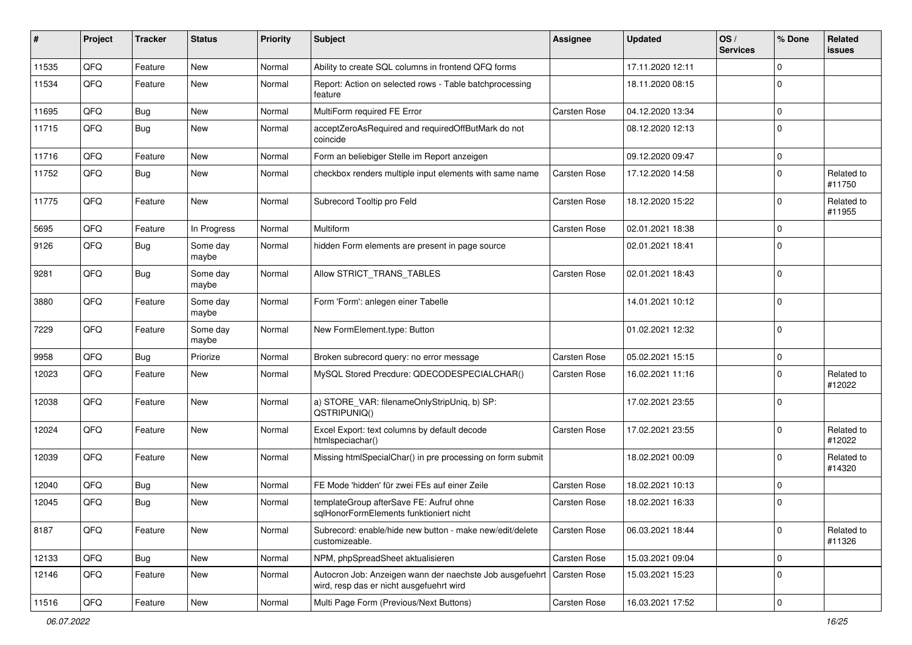| ∦     | Project | <b>Tracker</b> | <b>Status</b>     | <b>Priority</b> | <b>Subject</b>                                                                                       | <b>Assignee</b>     | <b>Updated</b>   | OS/<br><b>Services</b> | % Done      | Related<br>issues    |
|-------|---------|----------------|-------------------|-----------------|------------------------------------------------------------------------------------------------------|---------------------|------------------|------------------------|-------------|----------------------|
| 11535 | QFQ     | Feature        | <b>New</b>        | Normal          | Ability to create SQL columns in frontend QFQ forms                                                  |                     | 17.11.2020 12:11 |                        | $\Omega$    |                      |
| 11534 | QFQ     | Feature        | New               | Normal          | Report: Action on selected rows - Table batchprocessing<br>feature                                   |                     | 18.11.2020 08:15 |                        | $\Omega$    |                      |
| 11695 | QFQ     | Bug            | <b>New</b>        | Normal          | MultiForm required FE Error                                                                          | <b>Carsten Rose</b> | 04.12.2020 13:34 |                        | $\mathbf 0$ |                      |
| 11715 | QFQ     | Bug            | New               | Normal          | acceptZeroAsRequired and requiredOffButMark do not<br>coincide                                       |                     | 08.12.2020 12:13 |                        | $\Omega$    |                      |
| 11716 | QFQ     | Feature        | New               | Normal          | Form an beliebiger Stelle im Report anzeigen                                                         |                     | 09.12.2020 09:47 |                        | $\mathbf 0$ |                      |
| 11752 | QFQ     | Bug            | <b>New</b>        | Normal          | checkbox renders multiple input elements with same name                                              | <b>Carsten Rose</b> | 17.12.2020 14:58 |                        | $\Omega$    | Related to<br>#11750 |
| 11775 | QFQ     | Feature        | New               | Normal          | Subrecord Tooltip pro Feld                                                                           | <b>Carsten Rose</b> | 18.12.2020 15:22 |                        | $\mathbf 0$ | Related to<br>#11955 |
| 5695  | QFQ     | Feature        | In Progress       | Normal          | Multiform                                                                                            | <b>Carsten Rose</b> | 02.01.2021 18:38 |                        | $\mathbf 0$ |                      |
| 9126  | QFQ     | Bug            | Some day<br>maybe | Normal          | hidden Form elements are present in page source                                                      |                     | 02.01.2021 18:41 |                        | $\Omega$    |                      |
| 9281  | QFQ     | Bug            | Some day<br>maybe | Normal          | Allow STRICT TRANS TABLES                                                                            | <b>Carsten Rose</b> | 02.01.2021 18:43 |                        | $\Omega$    |                      |
| 3880  | QFQ     | Feature        | Some day<br>maybe | Normal          | Form 'Form': anlegen einer Tabelle                                                                   |                     | 14.01.2021 10:12 |                        | $\mathbf 0$ |                      |
| 7229  | QFQ     | Feature        | Some day<br>maybe | Normal          | New FormElement.type: Button                                                                         |                     | 01.02.2021 12:32 |                        | $\Omega$    |                      |
| 9958  | QFQ     | Bug            | Priorize          | Normal          | Broken subrecord query: no error message                                                             | <b>Carsten Rose</b> | 05.02.2021 15:15 |                        | $\mathbf 0$ |                      |
| 12023 | QFQ     | Feature        | New               | Normal          | MySQL Stored Precdure: QDECODESPECIALCHAR()                                                          | <b>Carsten Rose</b> | 16.02.2021 11:16 |                        | $\Omega$    | Related to<br>#12022 |
| 12038 | QFQ     | Feature        | New               | Normal          | a) STORE_VAR: filenameOnlyStripUniq, b) SP:<br>QSTRIPUNIQ()                                          |                     | 17.02.2021 23:55 |                        | $\Omega$    |                      |
| 12024 | QFQ     | Feature        | New               | Normal          | Excel Export: text columns by default decode<br>htmlspeciachar()                                     | <b>Carsten Rose</b> | 17.02.2021 23:55 |                        | $\Omega$    | Related to<br>#12022 |
| 12039 | QFQ     | Feature        | New               | Normal          | Missing htmlSpecialChar() in pre processing on form submit                                           |                     | 18.02.2021 00:09 |                        | $\mathbf 0$ | Related to<br>#14320 |
| 12040 | QFQ     | Bug            | New               | Normal          | FE Mode 'hidden' für zwei FEs auf einer Zeile                                                        | <b>Carsten Rose</b> | 18.02.2021 10:13 |                        | $\mathbf 0$ |                      |
| 12045 | QFQ     | Bug            | New               | Normal          | templateGroup afterSave FE: Aufruf ohne<br>sqlHonorFormElements funktioniert nicht                   | <b>Carsten Rose</b> | 18.02.2021 16:33 |                        | $\mathbf 0$ |                      |
| 8187  | QFQ     | Feature        | New               | Normal          | Subrecord: enable/hide new button - make new/edit/delete<br>customizeable.                           | Carsten Rose        | 06.03.2021 18:44 |                        | $\mathbf 0$ | Related to<br>#11326 |
| 12133 | QFQ     | Bug            | New               | Normal          | NPM, phpSpreadSheet aktualisieren                                                                    | Carsten Rose        | 15.03.2021 09:04 |                        | 0           |                      |
| 12146 | QFQ     | Feature        | New               | Normal          | Autocron Job: Anzeigen wann der naechste Job ausgefuehrt<br>wird, resp das er nicht ausgefuehrt wird | Carsten Rose        | 15.03.2021 15:23 |                        | 0           |                      |
| 11516 | QFQ     | Feature        | New               | Normal          | Multi Page Form (Previous/Next Buttons)                                                              | Carsten Rose        | 16.03.2021 17:52 |                        | 0           |                      |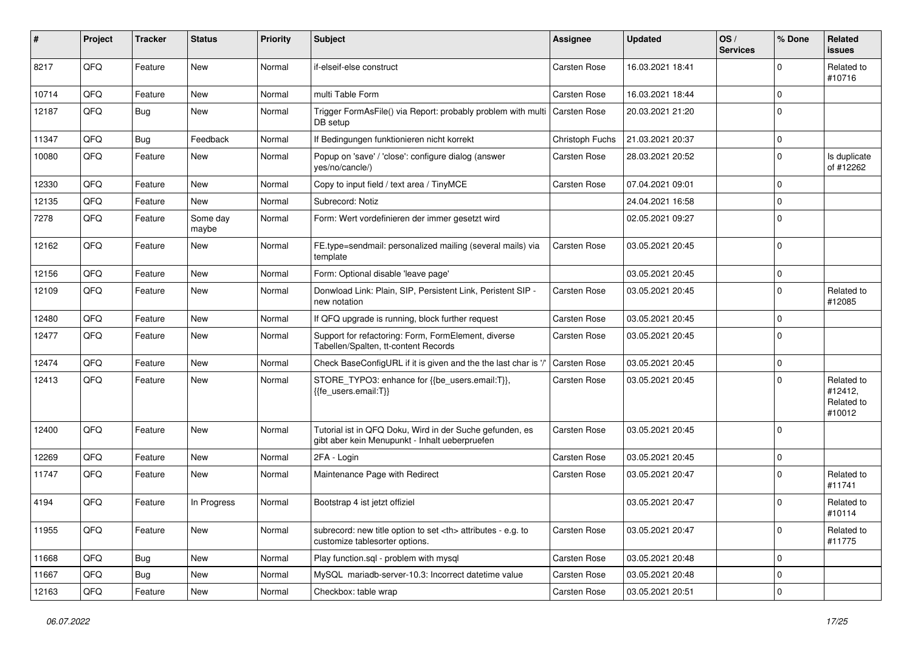| #     | Project | <b>Tracker</b> | <b>Status</b>     | <b>Priority</b> | Subject                                                                                                    | <b>Assignee</b>                                        | <b>Updated</b>   | OS/<br><b>Services</b> | % Done      | Related<br>issues                             |                      |
|-------|---------|----------------|-------------------|-----------------|------------------------------------------------------------------------------------------------------------|--------------------------------------------------------|------------------|------------------------|-------------|-----------------------------------------------|----------------------|
| 8217  | QFQ     | Feature        | New               | Normal          | if-elseif-else construct                                                                                   | Carsten Rose                                           | 16.03.2021 18:41 |                        | $\Omega$    | Related to<br>#10716                          |                      |
| 10714 | QFQ     | Feature        | New               | Normal          | multi Table Form                                                                                           | Carsten Rose                                           | 16.03.2021 18:44 |                        | $\Omega$    |                                               |                      |
| 12187 | QFQ     | Bug            | New               | Normal          | Trigger FormAsFile() via Report: probably problem with multi<br>DB setup                                   | <b>Carsten Rose</b>                                    | 20.03.2021 21:20 |                        | $\Omega$    |                                               |                      |
| 11347 | QFQ     | <b>Bug</b>     | Feedback          | Normal          | If Bedingungen funktionieren nicht korrekt                                                                 | Christoph Fuchs                                        | 21.03.2021 20:37 |                        | $\mathbf 0$ |                                               |                      |
| 10080 | QFQ     | Feature        | New               | Normal          | Popup on 'save' / 'close': configure dialog (answer<br>yes/no/cancle/)                                     | Carsten Rose                                           | 28.03.2021 20:52 |                        | $\mathbf 0$ | Is duplicate<br>of #12262                     |                      |
| 12330 | QFQ     | Feature        | <b>New</b>        | Normal          | Copy to input field / text area / TinyMCE                                                                  | Carsten Rose                                           | 07.04.2021 09:01 |                        | $\mathbf 0$ |                                               |                      |
| 12135 | QFQ     | Feature        | New               | Normal          | Subrecord: Notiz                                                                                           |                                                        | 24.04.2021 16:58 |                        | $\mathbf 0$ |                                               |                      |
| 7278  | QFQ     | Feature        | Some day<br>maybe | Normal          | Form: Wert vordefinieren der immer gesetzt wird                                                            |                                                        | 02.05.2021 09:27 |                        | $\Omega$    |                                               |                      |
| 12162 | QFQ     | Feature        | New               | Normal          | FE.type=sendmail: personalized mailing (several mails) via<br>template                                     | <b>Carsten Rose</b>                                    | 03.05.2021 20:45 |                        | $\Omega$    |                                               |                      |
| 12156 | QFQ     | Feature        | <b>New</b>        | Normal          | Form: Optional disable 'leave page'                                                                        |                                                        | 03.05.2021 20:45 |                        | $\mathbf 0$ |                                               |                      |
| 12109 | QFQ     | Feature        | New               | Normal          | Donwload Link: Plain, SIP, Persistent Link, Peristent SIP -<br>new notation                                | <b>Carsten Rose</b>                                    | 03.05.2021 20:45 |                        | $\Omega$    | Related to<br>#12085                          |                      |
| 12480 | QFQ     | Feature        | New               | Normal          | If QFQ upgrade is running, block further request                                                           | Carsten Rose                                           | 03.05.2021 20:45 |                        | $\mathbf 0$ |                                               |                      |
| 12477 | QFQ     | Feature        | New               | Normal          | Support for refactoring: Form, FormElement, diverse<br>Tabellen/Spalten, tt-content Records                | Carsten Rose                                           | 03.05.2021 20:45 |                        | $\Omega$    |                                               |                      |
| 12474 | QFQ     | Feature        | New               | Normal          | Check BaseConfigURL if it is given and the the last char is '/                                             | <b>Carsten Rose</b>                                    | 03.05.2021 20:45 |                        | $\mathbf 0$ |                                               |                      |
| 12413 | QFQ     | Feature        | New               | Normal          | STORE_TYPO3: enhance for {{be_users.email:T}},<br>{{fe_users.email:T}}                                     | Carsten Rose                                           | 03.05.2021 20:45 |                        | $\Omega$    | Related to<br>#12412,<br>Related to<br>#10012 |                      |
| 12400 | QFQ     | Feature        | <b>New</b>        | Normal          | Tutorial ist in QFQ Doku, Wird in der Suche gefunden, es<br>gibt aber kein Menupunkt - Inhalt ueberpruefen | <b>Carsten Rose</b>                                    | 03.05.2021 20:45 |                        | 0           |                                               |                      |
| 12269 | QFQ     | Feature        | New               | Normal          | 2FA - Login                                                                                                | Carsten Rose                                           | 03.05.2021 20:45 |                        | 0           |                                               |                      |
| 11747 | QFQ     | Feature        | New               | Normal          | Maintenance Page with Redirect                                                                             | Carsten Rose                                           | 03.05.2021 20:47 |                        | $\Omega$    | Related to<br>#11741                          |                      |
| 4194  | QFQ     | Feature        | In Progress       | Normal          | Bootstrap 4 ist jetzt offiziel                                                                             |                                                        | 03.05.2021 20:47 |                        | 0           | Related to<br>#10114                          |                      |
| 11955 | QFQ     | Feature        | New               | Normal          | subrecord: new title option to set <th> attributes - e.g. to<br/>customize tablesorter options.</th>       | attributes - e.g. to<br>customize tablesorter options. | Carsten Rose     | 03.05.2021 20:47       |             | $\mathbf 0$                                   | Related to<br>#11775 |
| 11668 | QFQ     | Bug            | New               | Normal          | Play function.sql - problem with mysql                                                                     | Carsten Rose                                           | 03.05.2021 20:48 |                        | $\mathbf 0$ |                                               |                      |
| 11667 | QFQ     | Bug            | New               | Normal          | MySQL mariadb-server-10.3: Incorrect datetime value                                                        | Carsten Rose                                           | 03.05.2021 20:48 |                        | $\mathbf 0$ |                                               |                      |
| 12163 | QFQ     | Feature        | New               | Normal          | Checkbox: table wrap                                                                                       | Carsten Rose                                           | 03.05.2021 20:51 |                        | $\mathbf 0$ |                                               |                      |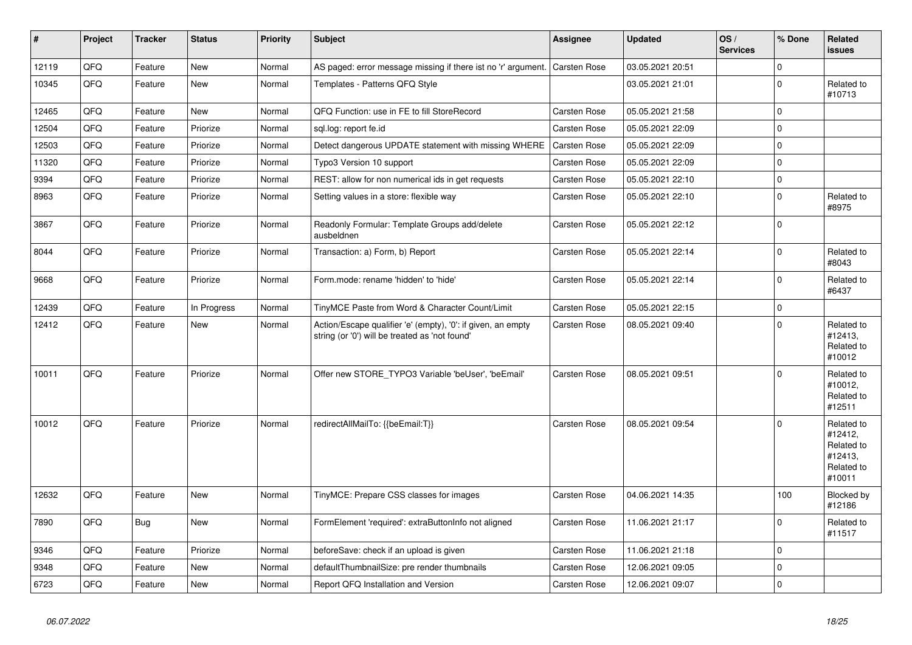| #     | <b>Project</b> | <b>Tracker</b> | <b>Status</b> | <b>Priority</b> | <b>Subject</b>                                                                                                 | Assignee            | <b>Updated</b>   | OS/<br><b>Services</b> | % Done      | Related<br>issues                                                      |
|-------|----------------|----------------|---------------|-----------------|----------------------------------------------------------------------------------------------------------------|---------------------|------------------|------------------------|-------------|------------------------------------------------------------------------|
| 12119 | QFQ            | Feature        | <b>New</b>    | Normal          | AS paged: error message missing if there ist no 'r' argument.                                                  | Carsten Rose        | 03.05.2021 20:51 |                        | $\Omega$    |                                                                        |
| 10345 | QFQ            | Feature        | New           | Normal          | Templates - Patterns QFQ Style                                                                                 |                     | 03.05.2021 21:01 |                        | $\mathbf 0$ | Related to<br>#10713                                                   |
| 12465 | QFQ            | Feature        | <b>New</b>    | Normal          | QFQ Function: use in FE to fill StoreRecord                                                                    | <b>Carsten Rose</b> | 05.05.2021 21:58 |                        | 0           |                                                                        |
| 12504 | QFQ            | Feature        | Priorize      | Normal          | sql.log: report fe.id                                                                                          | Carsten Rose        | 05.05.2021 22:09 |                        | $\mathbf 0$ |                                                                        |
| 12503 | QFQ            | Feature        | Priorize      | Normal          | Detect dangerous UPDATE statement with missing WHERE                                                           | Carsten Rose        | 05.05.2021 22:09 |                        | $\Omega$    |                                                                        |
| 11320 | QFQ            | Feature        | Priorize      | Normal          | Typo3 Version 10 support                                                                                       | Carsten Rose        | 05.05.2021 22:09 |                        | 0           |                                                                        |
| 9394  | QFQ            | Feature        | Priorize      | Normal          | REST: allow for non numerical ids in get requests                                                              | Carsten Rose        | 05.05.2021 22:10 |                        | $\mathbf 0$ |                                                                        |
| 8963  | QFQ            | Feature        | Priorize      | Normal          | Setting values in a store: flexible way                                                                        | Carsten Rose        | 05.05.2021 22:10 |                        | $\Omega$    | Related to<br>#8975                                                    |
| 3867  | QFQ            | Feature        | Priorize      | Normal          | Readonly Formular: Template Groups add/delete<br>ausbeldnen                                                    | Carsten Rose        | 05.05.2021 22:12 |                        | $\Omega$    |                                                                        |
| 8044  | QFQ            | Feature        | Priorize      | Normal          | Transaction: a) Form, b) Report                                                                                | Carsten Rose        | 05.05.2021 22:14 |                        | $\mathbf 0$ | Related to<br>#8043                                                    |
| 9668  | QFQ            | Feature        | Priorize      | Normal          | Form.mode: rename 'hidden' to 'hide'                                                                           | <b>Carsten Rose</b> | 05.05.2021 22:14 |                        | $\Omega$    | Related to<br>#6437                                                    |
| 12439 | QFQ            | Feature        | In Progress   | Normal          | TinyMCE Paste from Word & Character Count/Limit                                                                | Carsten Rose        | 05.05.2021 22:15 |                        | $\Omega$    |                                                                        |
| 12412 | QFQ            | Feature        | New           | Normal          | Action/Escape qualifier 'e' (empty), '0': if given, an empty<br>string (or '0') will be treated as 'not found' | Carsten Rose        | 08.05.2021 09:40 |                        | $\Omega$    | Related to<br>#12413,<br>Related to<br>#10012                          |
| 10011 | QFQ            | Feature        | Priorize      | Normal          | Offer new STORE_TYPO3 Variable 'beUser', 'beEmail'                                                             | Carsten Rose        | 08.05.2021 09:51 |                        | $\Omega$    | Related to<br>#10012,<br>Related to<br>#12511                          |
| 10012 | QFQ            | Feature        | Priorize      | Normal          | redirectAllMailTo: {{beEmail:T}}                                                                               | <b>Carsten Rose</b> | 08.05.2021 09:54 |                        | $\mathbf 0$ | Related to<br>#12412,<br>Related to<br>#12413,<br>Related to<br>#10011 |
| 12632 | QFQ            | Feature        | <b>New</b>    | Normal          | TinyMCE: Prepare CSS classes for images                                                                        | Carsten Rose        | 04.06.2021 14:35 |                        | 100         | Blocked by<br>#12186                                                   |
| 7890  | QFQ            | <b>Bug</b>     | New           | Normal          | FormElement 'required': extraButtonInfo not aligned                                                            | Carsten Rose        | 11.06.2021 21:17 |                        | $\mathbf 0$ | Related to<br>#11517                                                   |
| 9346  | QFQ            | Feature        | Priorize      | Normal          | beforeSave: check if an upload is given                                                                        | Carsten Rose        | 11.06.2021 21:18 |                        | $\mathbf 0$ |                                                                        |
| 9348  | QFQ            | Feature        | <b>New</b>    | Normal          | defaultThumbnailSize: pre render thumbnails                                                                    | <b>Carsten Rose</b> | 12.06.2021 09:05 |                        | $\Omega$    |                                                                        |
| 6723  | QFQ            | Feature        | New           | Normal          | Report QFQ Installation and Version                                                                            | <b>Carsten Rose</b> | 12.06.2021 09:07 |                        | $\Omega$    |                                                                        |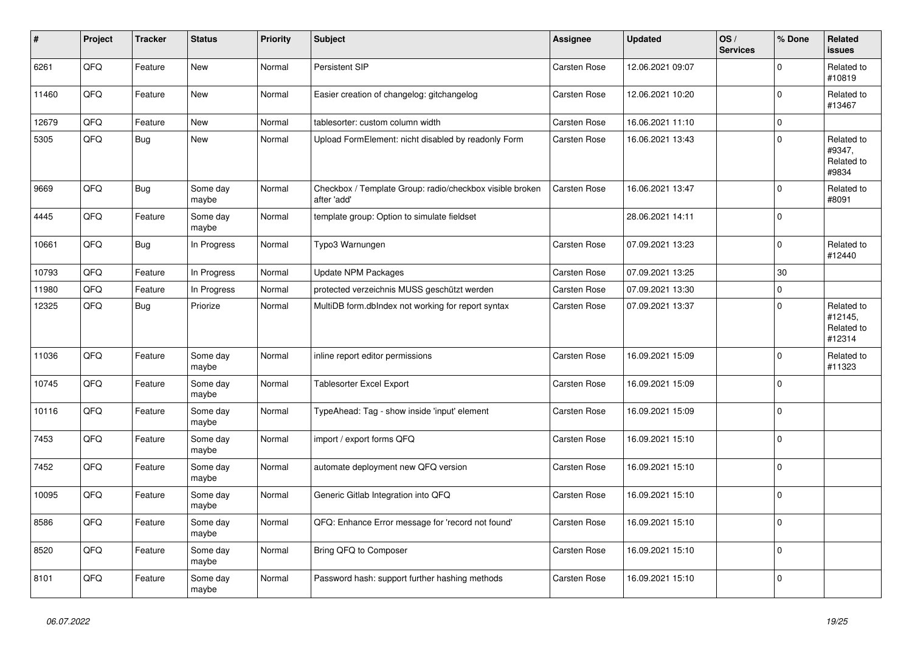| ∦     | Project | <b>Tracker</b> | <b>Status</b>     | <b>Priority</b> | <b>Subject</b>                                                          | Assignee     | <b>Updated</b>   | OS/<br><b>Services</b> | % Done              | <b>Related</b><br><b>issues</b>               |
|-------|---------|----------------|-------------------|-----------------|-------------------------------------------------------------------------|--------------|------------------|------------------------|---------------------|-----------------------------------------------|
| 6261  | QFQ     | Feature        | <b>New</b>        | Normal          | Persistent SIP                                                          | Carsten Rose | 12.06.2021 09:07 |                        | $\mathbf 0$         | Related to<br>#10819                          |
| 11460 | QFQ     | Feature        | New               | Normal          | Easier creation of changelog: gitchangelog                              | Carsten Rose | 12.06.2021 10:20 |                        | $\mathbf 0$         | Related to<br>#13467                          |
| 12679 | QFQ     | Feature        | <b>New</b>        | Normal          | tablesorter: custom column width                                        | Carsten Rose | 16.06.2021 11:10 |                        | $\mathbf 0$         |                                               |
| 5305  | QFQ     | <b>Bug</b>     | <b>New</b>        | Normal          | Upload FormElement: nicht disabled by readonly Form                     | Carsten Rose | 16.06.2021 13:43 |                        | $\mathbf 0$         | Related to<br>#9347,<br>Related to<br>#9834   |
| 9669  | QFQ     | <b>Bug</b>     | Some day<br>maybe | Normal          | Checkbox / Template Group: radio/checkbox visible broken<br>after 'add' | Carsten Rose | 16.06.2021 13:47 |                        | $\Omega$            | Related to<br>#8091                           |
| 4445  | QFQ     | Feature        | Some day<br>maybe | Normal          | template group: Option to simulate fieldset                             |              | 28.06.2021 14:11 |                        | $\mathbf 0$         |                                               |
| 10661 | QFQ     | Bug            | In Progress       | Normal          | Typo3 Warnungen                                                         | Carsten Rose | 07.09.2021 13:23 |                        | $\pmb{0}$           | Related to<br>#12440                          |
| 10793 | QFQ     | Feature        | In Progress       | Normal          | <b>Update NPM Packages</b>                                              | Carsten Rose | 07.09.2021 13:25 |                        | 30                  |                                               |
| 11980 | QFQ     | Feature        | In Progress       | Normal          | protected verzeichnis MUSS geschützt werden                             | Carsten Rose | 07.09.2021 13:30 |                        | $\mathsf{O}\xspace$ |                                               |
| 12325 | QFQ     | <b>Bug</b>     | Priorize          | Normal          | MultiDB form.dblndex not working for report syntax                      | Carsten Rose | 07.09.2021 13:37 |                        | $\mathbf 0$         | Related to<br>#12145,<br>Related to<br>#12314 |
| 11036 | QFQ     | Feature        | Some day<br>maybe | Normal          | inline report editor permissions                                        | Carsten Rose | 16.09.2021 15:09 |                        | $\mathsf 0$         | Related to<br>#11323                          |
| 10745 | QFQ     | Feature        | Some day<br>maybe | Normal          | <b>Tablesorter Excel Export</b>                                         | Carsten Rose | 16.09.2021 15:09 |                        | $\mathbf 0$         |                                               |
| 10116 | QFQ     | Feature        | Some day<br>maybe | Normal          | TypeAhead: Tag - show inside 'input' element                            | Carsten Rose | 16.09.2021 15:09 |                        | $\mathsf 0$         |                                               |
| 7453  | QFQ     | Feature        | Some day<br>maybe | Normal          | import / export forms QFQ                                               | Carsten Rose | 16.09.2021 15:10 |                        | $\Omega$            |                                               |
| 7452  | QFQ     | Feature        | Some day<br>maybe | Normal          | automate deployment new QFQ version                                     | Carsten Rose | 16.09.2021 15:10 |                        | $\pmb{0}$           |                                               |
| 10095 | QFQ     | Feature        | Some day<br>maybe | Normal          | Generic Gitlab Integration into QFQ                                     | Carsten Rose | 16.09.2021 15:10 |                        | $\mathsf{O}\xspace$ |                                               |
| 8586  | QFQ     | Feature        | Some day<br>maybe | Normal          | QFQ: Enhance Error message for 'record not found'                       | Carsten Rose | 16.09.2021 15:10 |                        | $\Omega$            |                                               |
| 8520  | QFQ     | Feature        | Some day<br>maybe | Normal          | Bring QFQ to Composer                                                   | Carsten Rose | 16.09.2021 15:10 |                        | $\mathbf 0$         |                                               |
| 8101  | QFQ     | Feature        | Some day<br>maybe | Normal          | Password hash: support further hashing methods                          | Carsten Rose | 16.09.2021 15:10 |                        | $\mathbf 0$         |                                               |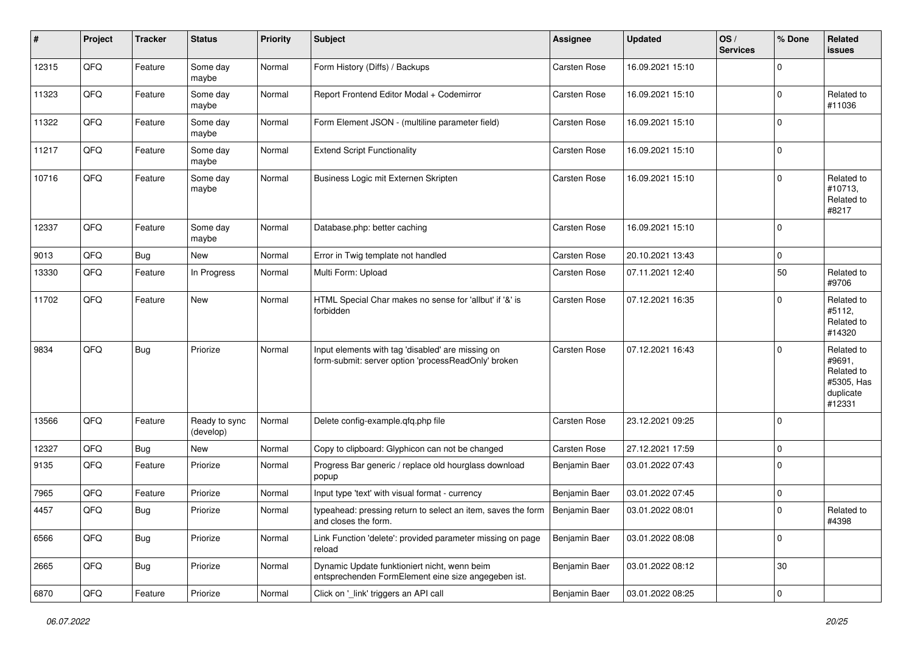| $\sharp$ | Project        | <b>Tracker</b> | <b>Status</b>              | <b>Priority</b> | Subject                                                                                                  | <b>Assignee</b> | <b>Updated</b>   | OS/<br><b>Services</b> | % Done      | Related<br>issues                                                       |
|----------|----------------|----------------|----------------------------|-----------------|----------------------------------------------------------------------------------------------------------|-----------------|------------------|------------------------|-------------|-------------------------------------------------------------------------|
| 12315    | QFQ            | Feature        | Some day<br>maybe          | Normal          | Form History (Diffs) / Backups                                                                           | Carsten Rose    | 16.09.2021 15:10 |                        | $\mathbf 0$ |                                                                         |
| 11323    | QFQ            | Feature        | Some day<br>maybe          | Normal          | Report Frontend Editor Modal + Codemirror                                                                | Carsten Rose    | 16.09.2021 15:10 |                        | $\mathbf 0$ | Related to<br>#11036                                                    |
| 11322    | QFQ            | Feature        | Some day<br>maybe          | Normal          | Form Element JSON - (multiline parameter field)                                                          | Carsten Rose    | 16.09.2021 15:10 |                        | $\mathbf 0$ |                                                                         |
| 11217    | QFQ            | Feature        | Some day<br>maybe          | Normal          | <b>Extend Script Functionality</b>                                                                       | Carsten Rose    | 16.09.2021 15:10 |                        | $\mathbf 0$ |                                                                         |
| 10716    | QFQ            | Feature        | Some day<br>maybe          | Normal          | Business Logic mit Externen Skripten                                                                     | Carsten Rose    | 16.09.2021 15:10 |                        | $\mathbf 0$ | Related to<br>#10713,<br>Related to<br>#8217                            |
| 12337    | QFQ            | Feature        | Some day<br>maybe          | Normal          | Database.php: better caching                                                                             | Carsten Rose    | 16.09.2021 15:10 |                        | $\Omega$    |                                                                         |
| 9013     | QFQ            | Bug            | New                        | Normal          | Error in Twig template not handled                                                                       | Carsten Rose    | 20.10.2021 13:43 |                        | $\mathbf 0$ |                                                                         |
| 13330    | QFQ            | Feature        | In Progress                | Normal          | Multi Form: Upload                                                                                       | Carsten Rose    | 07.11.2021 12:40 |                        | 50          | Related to<br>#9706                                                     |
| 11702    | QFQ            | Feature        | <b>New</b>                 | Normal          | HTML Special Char makes no sense for 'allbut' if '&' is<br>forbidden                                     | Carsten Rose    | 07.12.2021 16:35 |                        | $\Omega$    | Related to<br>#5112,<br>Related to<br>#14320                            |
| 9834     | QFQ            | Bug            | Priorize                   | Normal          | Input elements with tag 'disabled' are missing on<br>form-submit: server option 'processReadOnly' broken | Carsten Rose    | 07.12.2021 16:43 |                        | $\mathbf 0$ | Related to<br>#9691,<br>Related to<br>#5305, Has<br>duplicate<br>#12331 |
| 13566    | QFQ            | Feature        | Ready to sync<br>(develop) | Normal          | Delete config-example.qfq.php file                                                                       | Carsten Rose    | 23.12.2021 09:25 |                        | $\Omega$    |                                                                         |
| 12327    | QFQ            | Bug            | <b>New</b>                 | Normal          | Copy to clipboard: Glyphicon can not be changed                                                          | Carsten Rose    | 27.12.2021 17:59 |                        | 0           |                                                                         |
| 9135     | QFQ            | Feature        | Priorize                   | Normal          | Progress Bar generic / replace old hourglass download<br>popup                                           | Benjamin Baer   | 03.01.2022 07:43 |                        | $\Omega$    |                                                                         |
| 7965     | QFQ            | Feature        | Priorize                   | Normal          | Input type 'text' with visual format - currency                                                          | Benjamin Baer   | 03.01.2022 07:45 |                        | 0           |                                                                         |
| 4457     | QFQ            | Bug            | Priorize                   | Normal          | typeahead: pressing return to select an item, saves the form   Benjamin Baer<br>and closes the form.     |                 | 03.01.2022 08:01 |                        | 0           | Related to<br>#4398                                                     |
| 6566     | QFG            | Bug            | Priorize                   | Normal          | Link Function 'delete': provided parameter missing on page<br>reload                                     | Benjamin Baer   | 03.01.2022 08:08 |                        | $\mathbf 0$ |                                                                         |
| 2665     | QFQ            | <b>Bug</b>     | Priorize                   | Normal          | Dynamic Update funktioniert nicht, wenn beim<br>entsprechenden FormElement eine size angegeben ist.      | Benjamin Baer   | 03.01.2022 08:12 |                        | 30          |                                                                         |
| 6870     | $\mathsf{QFQ}$ | Feature        | Priorize                   | Normal          | Click on '_link' triggers an API call                                                                    | Benjamin Baer   | 03.01.2022 08:25 |                        | 0           |                                                                         |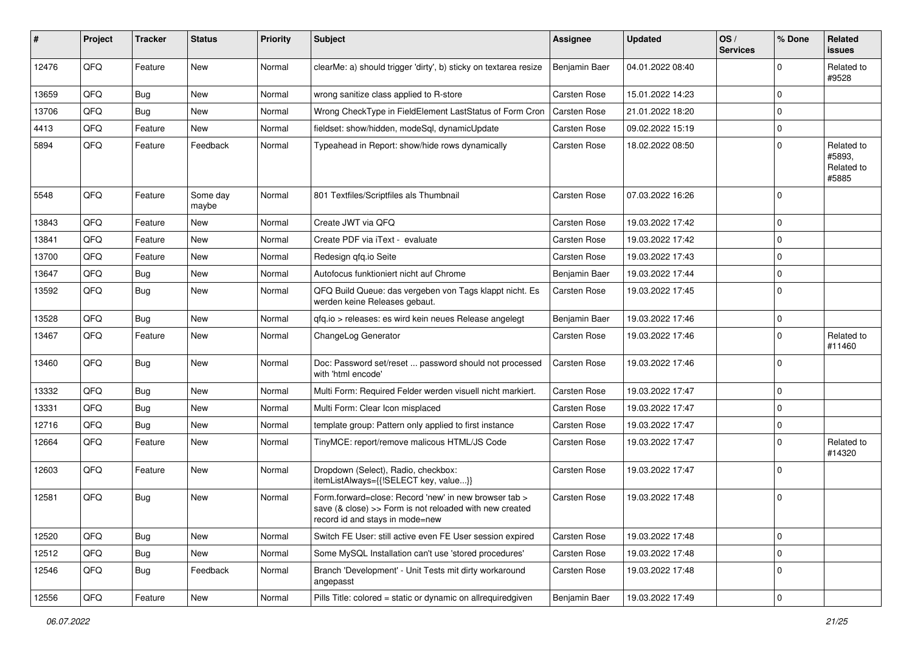| #     | Project | <b>Tracker</b> | <b>Status</b>     | <b>Priority</b> | Subject                                                                                                                                                       | Assignee      | <b>Updated</b>   | OS/<br><b>Services</b> | % Done      | Related<br>issues                           |
|-------|---------|----------------|-------------------|-----------------|---------------------------------------------------------------------------------------------------------------------------------------------------------------|---------------|------------------|------------------------|-------------|---------------------------------------------|
| 12476 | QFQ     | Feature        | <b>New</b>        | Normal          | clearMe: a) should trigger 'dirty', b) sticky on textarea resize                                                                                              | Benjamin Baer | 04.01.2022 08:40 |                        | $\Omega$    | Related to<br>#9528                         |
| 13659 | QFQ     | <b>Bug</b>     | New               | Normal          | wrong sanitize class applied to R-store                                                                                                                       | Carsten Rose  | 15.01.2022 14:23 |                        | $\Omega$    |                                             |
| 13706 | QFQ     | <b>Bug</b>     | <b>New</b>        | Normal          | Wrong CheckType in FieldElement LastStatus of Form Cron                                                                                                       | Carsten Rose  | 21.01.2022 18:20 |                        | $\Omega$    |                                             |
| 4413  | QFQ     | Feature        | New               | Normal          | fieldset: show/hidden, modeSql, dynamicUpdate                                                                                                                 | Carsten Rose  | 09.02.2022 15:19 |                        | $\mathbf 0$ |                                             |
| 5894  | QFQ     | Feature        | Feedback          | Normal          | Typeahead in Report: show/hide rows dynamically                                                                                                               | Carsten Rose  | 18.02.2022 08:50 |                        | $\Omega$    | Related to<br>#5893.<br>Related to<br>#5885 |
| 5548  | QFQ     | Feature        | Some day<br>maybe | Normal          | 801 Textfiles/Scriptfiles als Thumbnail                                                                                                                       | Carsten Rose  | 07.03.2022 16:26 |                        | 0           |                                             |
| 13843 | QFQ     | Feature        | New               | Normal          | Create JWT via QFQ                                                                                                                                            | Carsten Rose  | 19.03.2022 17:42 |                        | $\mathbf 0$ |                                             |
| 13841 | QFQ     | Feature        | New               | Normal          | Create PDF via iText - evaluate                                                                                                                               | Carsten Rose  | 19.03.2022 17:42 |                        | $\Omega$    |                                             |
| 13700 | QFQ     | Feature        | New               | Normal          | Redesign gfg.io Seite                                                                                                                                         | Carsten Rose  | 19.03.2022 17:43 |                        | $\mathbf 0$ |                                             |
| 13647 | QFQ     | Bug            | New               | Normal          | Autofocus funktioniert nicht auf Chrome                                                                                                                       | Benjamin Baer | 19.03.2022 17:44 |                        | $\Omega$    |                                             |
| 13592 | QFQ     | Bug            | New               | Normal          | QFQ Build Queue: das vergeben von Tags klappt nicht. Es<br>werden keine Releases gebaut.                                                                      | Carsten Rose  | 19.03.2022 17:45 |                        | $\Omega$    |                                             |
| 13528 | QFQ     | Bug            | New               | Normal          | gfg.io > releases: es wird kein neues Release angelegt                                                                                                        | Benjamin Baer | 19.03.2022 17:46 |                        | $\mathbf 0$ |                                             |
| 13467 | QFQ     | Feature        | New               | Normal          | ChangeLog Generator                                                                                                                                           | Carsten Rose  | 19.03.2022 17:46 |                        | $\Omega$    | Related to<br>#11460                        |
| 13460 | QFQ     | <b>Bug</b>     | New               | Normal          | Doc: Password set/reset  password should not processed<br>with 'html encode'                                                                                  | Carsten Rose  | 19.03.2022 17:46 |                        | $\mathbf 0$ |                                             |
| 13332 | QFQ     | Bug            | <b>New</b>        | Normal          | Multi Form: Required Felder werden visuell nicht markiert.                                                                                                    | Carsten Rose  | 19.03.2022 17:47 |                        | $\mathbf 0$ |                                             |
| 13331 | QFQ     | Bug            | New               | Normal          | Multi Form: Clear Icon misplaced                                                                                                                              | Carsten Rose  | 19.03.2022 17:47 |                        | $\Omega$    |                                             |
| 12716 | QFQ     | Bug            | <b>New</b>        | Normal          | template group: Pattern only applied to first instance                                                                                                        | Carsten Rose  | 19.03.2022 17:47 |                        | $\Omega$    |                                             |
| 12664 | QFQ     | Feature        | New               | Normal          | TinyMCE: report/remove malicous HTML/JS Code                                                                                                                  | Carsten Rose  | 19.03.2022 17:47 |                        | $\Omega$    | Related to<br>#14320                        |
| 12603 | QFQ     | Feature        | New               | Normal          | Dropdown (Select), Radio, checkbox:<br>itemListAlways={{!SELECT key, value}}                                                                                  | Carsten Rose  | 19.03.2022 17:47 |                        | $\Omega$    |                                             |
| 12581 | QFQ     | Bug            | New               | Normal          | Form.forward=close: Record 'new' in new browser tab ><br>save $(8 \text{ close}) >>$ Form is not reloaded with new created<br>record id and stays in mode=new | Carsten Rose  | 19.03.2022 17:48 |                        | 0           |                                             |
| 12520 | QFQ     | <b>Bug</b>     | New               | Normal          | Switch FE User: still active even FE User session expired                                                                                                     | Carsten Rose  | 19.03.2022 17:48 |                        | $\mathbf 0$ |                                             |
| 12512 | QFQ     | <b>Bug</b>     | New               | Normal          | Some MySQL Installation can't use 'stored procedures'                                                                                                         | Carsten Rose  | 19.03.2022 17:48 |                        | $\mathbf 0$ |                                             |
| 12546 | QFQ     | Bug            | Feedback          | Normal          | Branch 'Development' - Unit Tests mit dirty workaround<br>angepasst                                                                                           | Carsten Rose  | 19.03.2022 17:48 |                        | $\mathbf 0$ |                                             |
| 12556 | QFQ     | Feature        | New               | Normal          | Pills Title: colored = static or dynamic on allrequiredgiven                                                                                                  | Benjamin Baer | 19.03.2022 17:49 |                        | 0           |                                             |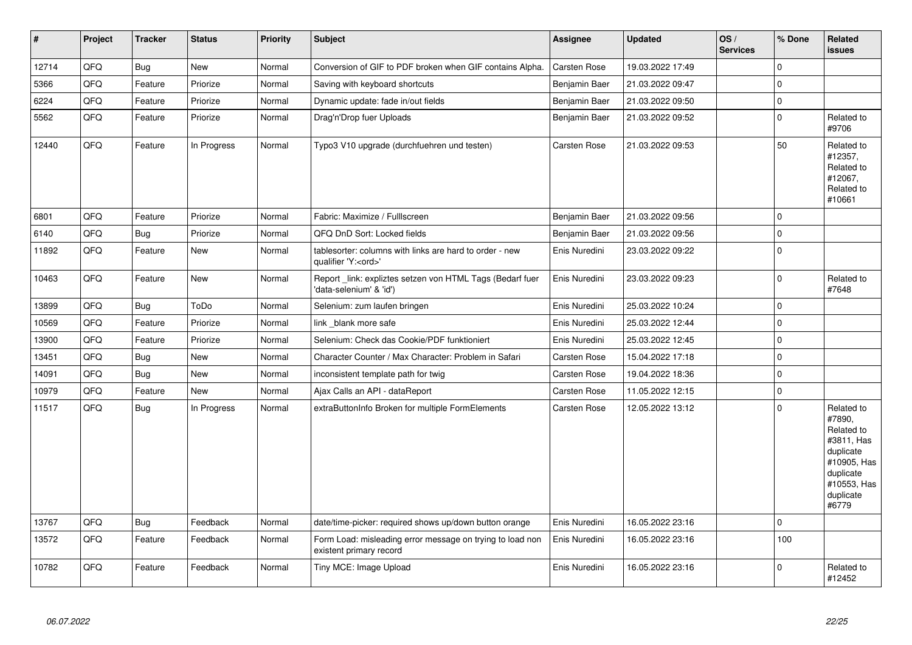| $\vert$ # | Project | <b>Tracker</b> | <b>Status</b> | <b>Priority</b> | Subject                                                                               | Assignee            | <b>Updated</b>   | OS/<br><b>Services</b> | % Done      | Related<br><b>issues</b>                                                                                                       |
|-----------|---------|----------------|---------------|-----------------|---------------------------------------------------------------------------------------|---------------------|------------------|------------------------|-------------|--------------------------------------------------------------------------------------------------------------------------------|
| 12714     | QFQ     | Bug            | New           | Normal          | Conversion of GIF to PDF broken when GIF contains Alpha.                              | <b>Carsten Rose</b> | 19.03.2022 17:49 |                        | $\mathbf 0$ |                                                                                                                                |
| 5366      | QFQ     | Feature        | Priorize      | Normal          | Saving with keyboard shortcuts                                                        | Benjamin Baer       | 21.03.2022 09:47 |                        | $\mathbf 0$ |                                                                                                                                |
| 6224      | QFQ     | Feature        | Priorize      | Normal          | Dynamic update: fade in/out fields                                                    | Benjamin Baer       | 21.03.2022 09:50 |                        | $\mathbf 0$ |                                                                                                                                |
| 5562      | QFQ     | Feature        | Priorize      | Normal          | Drag'n'Drop fuer Uploads                                                              | Benjamin Baer       | 21.03.2022 09:52 |                        | $\mathbf 0$ | Related to<br>#9706                                                                                                            |
| 12440     | QFQ     | Feature        | In Progress   | Normal          | Typo3 V10 upgrade (durchfuehren und testen)                                           | Carsten Rose        | 21.03.2022 09:53 |                        | 50          | Related to<br>#12357,<br>Related to<br>#12067,<br>Related to<br>#10661                                                         |
| 6801      | QFQ     | Feature        | Priorize      | Normal          | Fabric: Maximize / FullIscreen                                                        | Benjamin Baer       | 21.03.2022 09:56 |                        | $\mathbf 0$ |                                                                                                                                |
| 6140      | QFQ     | Bug            | Priorize      | Normal          | QFQ DnD Sort: Locked fields                                                           | Benjamin Baer       | 21.03.2022 09:56 |                        | $\mathbf 0$ |                                                                                                                                |
| 11892     | QFQ     | Feature        | New           | Normal          | tablesorter: columns with links are hard to order - new<br>qualifier 'Y: <ord>'</ord> | Enis Nuredini       | 23.03.2022 09:22 |                        | $\mathbf 0$ |                                                                                                                                |
| 10463     | QFQ     | Feature        | New           | Normal          | Report _link: expliztes setzen von HTML Tags (Bedarf fuer<br>'data-selenium' & 'id')  | Enis Nuredini       | 23.03.2022 09:23 |                        | $\mathbf 0$ | Related to<br>#7648                                                                                                            |
| 13899     | QFQ     | Bug            | ToDo          | Normal          | Selenium: zum laufen bringen                                                          | Enis Nuredini       | 25.03.2022 10:24 |                        | $\mathbf 0$ |                                                                                                                                |
| 10569     | QFQ     | Feature        | Priorize      | Normal          | link blank more safe                                                                  | Enis Nuredini       | 25.03.2022 12:44 |                        | $\Omega$    |                                                                                                                                |
| 13900     | QFQ     | Feature        | Priorize      | Normal          | Selenium: Check das Cookie/PDF funktioniert                                           | Enis Nuredini       | 25.03.2022 12:45 |                        | $\mathbf 0$ |                                                                                                                                |
| 13451     | QFQ     | <b>Bug</b>     | New           | Normal          | Character Counter / Max Character: Problem in Safari                                  | Carsten Rose        | 15.04.2022 17:18 |                        | $\mathbf 0$ |                                                                                                                                |
| 14091     | QFQ     | Bug            | <b>New</b>    | Normal          | inconsistent template path for twig                                                   | Carsten Rose        | 19.04.2022 18:36 |                        | $\mathbf 0$ |                                                                                                                                |
| 10979     | QFQ     | Feature        | <b>New</b>    | Normal          | Ajax Calls an API - dataReport                                                        | Carsten Rose        | 11.05.2022 12:15 |                        | $\mathbf 0$ |                                                                                                                                |
| 11517     | QFQ     | Bug            | In Progress   | Normal          | extraButtonInfo Broken for multiple FormElements                                      | Carsten Rose        | 12.05.2022 13:12 |                        | $\mathbf 0$ | Related to<br>#7890,<br>Related to<br>#3811, Has<br>duplicate<br>#10905, Has<br>duplicate<br>#10553, Has<br>duplicate<br>#6779 |
| 13767     | QFQ     | Bug            | Feedback      | Normal          | date/time-picker: required shows up/down button orange                                | Enis Nuredini       | 16.05.2022 23:16 |                        | $\mathbf 0$ |                                                                                                                                |
| 13572     | QFQ     | Feature        | Feedback      | Normal          | Form Load: misleading error message on trying to load non<br>existent primary record  | Enis Nuredini       | 16.05.2022 23:16 |                        | 100         |                                                                                                                                |
| 10782     | QFQ     | Feature        | Feedback      | Normal          | Tiny MCE: Image Upload                                                                | Enis Nuredini       | 16.05.2022 23:16 |                        | $\mathbf 0$ | Related to<br>#12452                                                                                                           |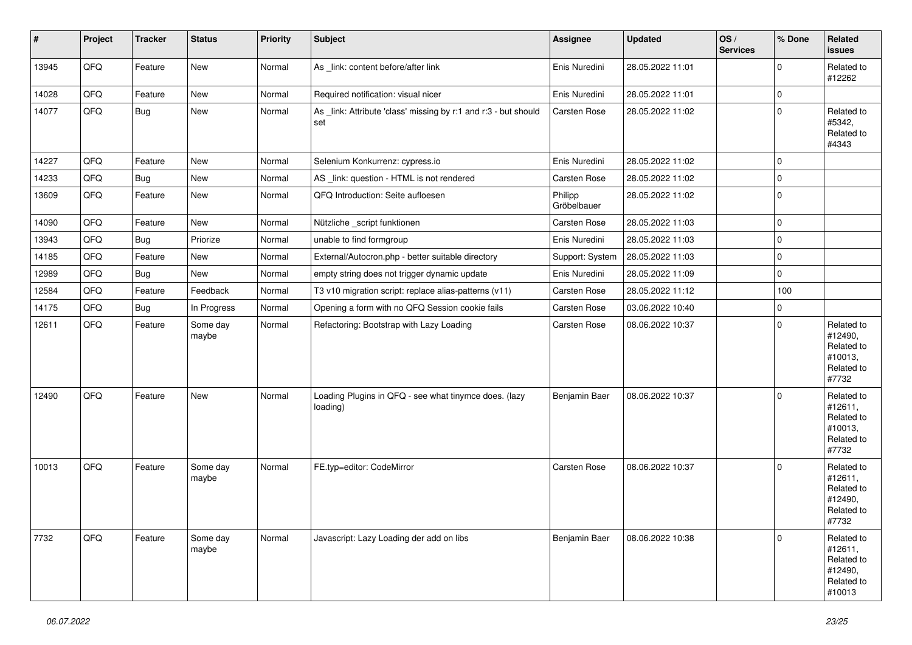| #     | Project | <b>Tracker</b> | <b>Status</b>     | <b>Priority</b> | <b>Subject</b>                                                         | Assignee               | <b>Updated</b>   | OS/<br><b>Services</b> | % Done      | Related<br><b>issues</b>                                               |
|-------|---------|----------------|-------------------|-----------------|------------------------------------------------------------------------|------------------------|------------------|------------------------|-------------|------------------------------------------------------------------------|
| 13945 | QFQ     | Feature        | New               | Normal          | As _link: content before/after link                                    | Enis Nuredini          | 28.05.2022 11:01 |                        | $\mathbf 0$ | Related to<br>#12262                                                   |
| 14028 | QFQ     | Feature        | New               | Normal          | Required notification: visual nicer                                    | Enis Nuredini          | 28.05.2022 11:01 |                        | 0           |                                                                        |
| 14077 | QFQ     | <b>Bug</b>     | New               | Normal          | As _link: Attribute 'class' missing by r:1 and r:3 - but should<br>set | Carsten Rose           | 28.05.2022 11:02 |                        | 0           | Related to<br>#5342,<br>Related to<br>#4343                            |
| 14227 | QFQ     | Feature        | New               | Normal          | Selenium Konkurrenz: cypress.io                                        | Enis Nuredini          | 28.05.2022 11:02 |                        | 0           |                                                                        |
| 14233 | QFQ     | <b>Bug</b>     | New               | Normal          | AS _link: question - HTML is not rendered                              | Carsten Rose           | 28.05.2022 11:02 |                        | 0           |                                                                        |
| 13609 | QFQ     | Feature        | New               | Normal          | QFQ Introduction: Seite aufloesen                                      | Philipp<br>Gröbelbauer | 28.05.2022 11:02 |                        | 0           |                                                                        |
| 14090 | QFQ     | Feature        | New               | Normal          | Nützliche _script funktionen                                           | Carsten Rose           | 28.05.2022 11:03 |                        | 0           |                                                                        |
| 13943 | QFQ     | <b>Bug</b>     | Priorize          | Normal          | unable to find formgroup                                               | Enis Nuredini          | 28.05.2022 11:03 |                        | 0           |                                                                        |
| 14185 | QFQ     | Feature        | New               | Normal          | External/Autocron.php - better suitable directory                      | Support: System        | 28.05.2022 11:03 |                        | 0           |                                                                        |
| 12989 | QFQ     | <b>Bug</b>     | New               | Normal          | empty string does not trigger dynamic update                           | Enis Nuredini          | 28.05.2022 11:09 |                        | 0           |                                                                        |
| 12584 | QFQ     | Feature        | Feedback          | Normal          | T3 v10 migration script: replace alias-patterns (v11)                  | Carsten Rose           | 28.05.2022 11:12 |                        | 100         |                                                                        |
| 14175 | QFQ     | <b>Bug</b>     | In Progress       | Normal          | Opening a form with no QFQ Session cookie fails                        | Carsten Rose           | 03.06.2022 10:40 |                        | $\mathbf 0$ |                                                                        |
| 12611 | QFQ     | Feature        | Some day<br>maybe | Normal          | Refactoring: Bootstrap with Lazy Loading                               | Carsten Rose           | 08.06.2022 10:37 |                        | 0           | Related to<br>#12490,<br>Related to<br>#10013,<br>Related to<br>#7732  |
| 12490 | QFQ     | Feature        | New               | Normal          | Loading Plugins in QFQ - see what tinymce does. (lazy<br>loading)      | Benjamin Baer          | 08.06.2022 10:37 |                        | 0           | Related to<br>#12611,<br>Related to<br>#10013,<br>Related to<br>#7732  |
| 10013 | QFQ     | Feature        | Some day<br>maybe | Normal          | FE.typ=editor: CodeMirror                                              | Carsten Rose           | 08.06.2022 10:37 |                        | $\Omega$    | Related to<br>#12611,<br>Related to<br>#12490,<br>Related to<br>#7732  |
| 7732  | QFQ     | Feature        | Some day<br>maybe | Normal          | Javascript: Lazy Loading der add on libs                               | Benjamin Baer          | 08.06.2022 10:38 |                        | $\mathbf 0$ | Related to<br>#12611,<br>Related to<br>#12490,<br>Related to<br>#10013 |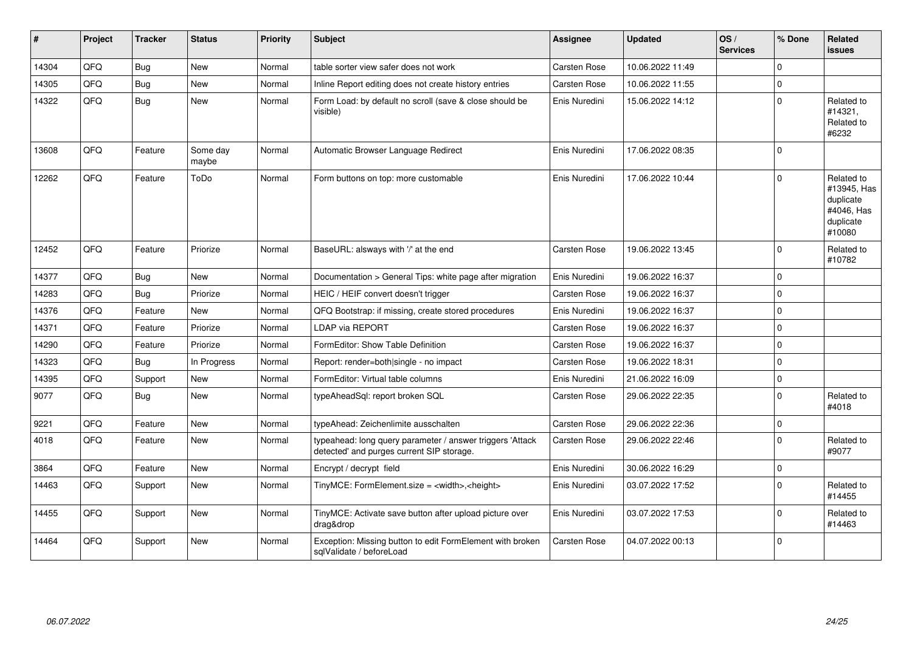| #     | Project | <b>Tracker</b> | <b>Status</b>     | <b>Priority</b> | <b>Subject</b>                                                                                         | Assignee            | <b>Updated</b>   | OS/<br><b>Services</b> | % Done      | Related<br><b>issues</b>                                                    |
|-------|---------|----------------|-------------------|-----------------|--------------------------------------------------------------------------------------------------------|---------------------|------------------|------------------------|-------------|-----------------------------------------------------------------------------|
| 14304 | QFQ     | Bug            | New               | Normal          | table sorter view safer does not work                                                                  | Carsten Rose        | 10.06.2022 11:49 |                        | $\Omega$    |                                                                             |
| 14305 | QFQ     | Bug            | New               | Normal          | Inline Report editing does not create history entries                                                  | Carsten Rose        | 10.06.2022 11:55 |                        | $\mathbf 0$ |                                                                             |
| 14322 | QFQ     | <b>Bug</b>     | New               | Normal          | Form Load: by default no scroll (save & close should be<br>visible)                                    | Enis Nuredini       | 15.06.2022 14:12 |                        | I٥          | Related to<br>#14321.<br>Related to<br>#6232                                |
| 13608 | QFQ     | Feature        | Some day<br>maybe | Normal          | Automatic Browser Language Redirect                                                                    | Enis Nuredini       | 17.06.2022 08:35 |                        | ١o          |                                                                             |
| 12262 | QFQ     | Feature        | ToDo              | Normal          | Form buttons on top: more customable                                                                   | Enis Nuredini       | 17.06.2022 10:44 |                        | I٥          | Related to<br>#13945, Has<br>duplicate<br>#4046, Has<br>duplicate<br>#10080 |
| 12452 | QFQ     | Feature        | Priorize          | Normal          | BaseURL: alsways with '/' at the end                                                                   | Carsten Rose        | 19.06.2022 13:45 |                        | I٥          | Related to<br>#10782                                                        |
| 14377 | QFQ     | Bug            | New               | Normal          | Documentation > General Tips: white page after migration                                               | Enis Nuredini       | 19.06.2022 16:37 |                        | l O         |                                                                             |
| 14283 | QFQ     | Bug            | Priorize          | Normal          | HEIC / HEIF convert doesn't trigger                                                                    | Carsten Rose        | 19.06.2022 16:37 |                        | $\Omega$    |                                                                             |
| 14376 | QFQ     | Feature        | New               | Normal          | QFQ Bootstrap: if missing, create stored procedures                                                    | Enis Nuredini       | 19.06.2022 16:37 |                        | $\Omega$    |                                                                             |
| 14371 | QFQ     | Feature        | Priorize          | Normal          | LDAP via REPORT                                                                                        | <b>Carsten Rose</b> | 19.06.2022 16:37 |                        | I٥          |                                                                             |
| 14290 | QFQ     | Feature        | Priorize          | Normal          | FormEditor: Show Table Definition                                                                      | Carsten Rose        | 19.06.2022 16:37 |                        | I٥          |                                                                             |
| 14323 | QFQ     | Bug            | In Progress       | Normal          | Report: render=both single - no impact                                                                 | Carsten Rose        | 19.06.2022 18:31 |                        | $\mathbf 0$ |                                                                             |
| 14395 | QFQ     | Support        | New               | Normal          | FormEditor: Virtual table columns                                                                      | Enis Nuredini       | 21.06.2022 16:09 |                        | $\Omega$    |                                                                             |
| 9077  | QFQ     | Bug            | New               | Normal          | typeAheadSql: report broken SQL                                                                        | Carsten Rose        | 29.06.2022 22:35 |                        | $\Omega$    | Related to<br>#4018                                                         |
| 9221  | QFQ     | Feature        | New               | Normal          | typeAhead: Zeichenlimite ausschalten                                                                   | Carsten Rose        | 29.06.2022 22:36 |                        | l o         |                                                                             |
| 4018  | QFQ     | Feature        | New               | Normal          | typeahead: long query parameter / answer triggers 'Attack<br>detected' and purges current SIP storage. | Carsten Rose        | 29.06.2022 22:46 |                        | I٥          | Related to<br>#9077                                                         |
| 3864  | QFQ     | Feature        | New               | Normal          | Encrypt / decrypt field                                                                                | Enis Nuredini       | 30.06.2022 16:29 |                        | I٥          |                                                                             |
| 14463 | QFQ     | Support        | New               | Normal          | TinyMCE: FormElement.size = <width>,<height></height></width>                                          | Enis Nuredini       | 03.07.2022 17:52 |                        | $\Omega$    | Related to<br>#14455                                                        |
| 14455 | QFQ     | Support        | New               | Normal          | TinyMCE: Activate save button after upload picture over<br>drag&drop                                   | Enis Nuredini       | 03.07.2022 17:53 |                        | $\Omega$    | Related to<br>#14463                                                        |
| 14464 | QFQ     | Support        | New               | Normal          | Exception: Missing button to edit FormElement with broken<br>sqlValidate / beforeLoad                  | <b>Carsten Rose</b> | 04.07.2022 00:13 |                        | l O         |                                                                             |